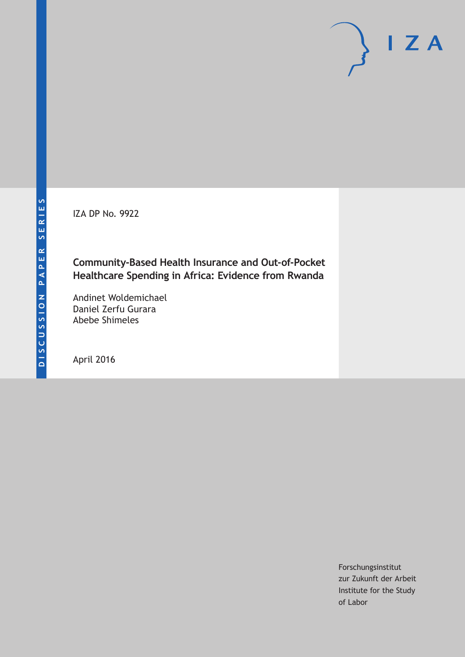IZA DP No. 9922

## **Community-Based Health Insurance and Out-of-Pocket Healthcare Spending in Africa: Evidence from Rwanda**

Andinet Woldemichael Daniel Zerfu Gurara Abebe Shimeles

April 2016

Forschungsinstitut zur Zukunft der Arbeit Institute for the Study of Labor

 $I Z A$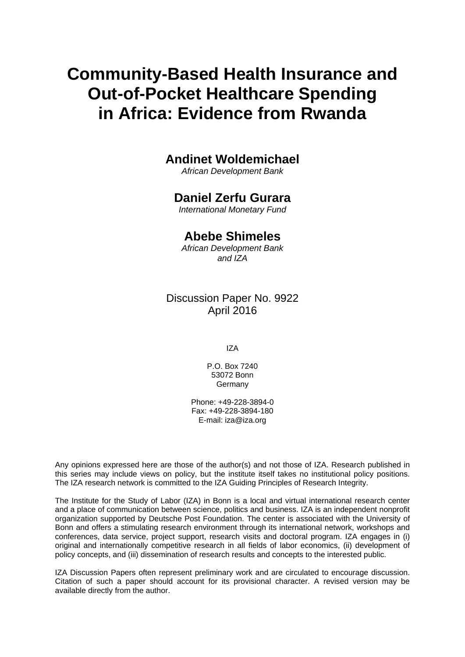# **Community-Based Health Insurance and Out-of-Pocket Healthcare Spending in Africa: Evidence from Rwanda**

# **Andinet Woldemichael**

*African Development Bank* 

### **Daniel Zerfu Gurara**

*International Monetary Fund* 

### **Abebe Shimeles**

*African Development Bank and IZA*

### Discussion Paper No. 9922 April 2016

IZA

P.O. Box 7240 53072 Bonn Germany

Phone: +49-228-3894-0 Fax: +49-228-3894-180 E-mail: iza@iza.org

Any opinions expressed here are those of the author(s) and not those of IZA. Research published in this series may include views on policy, but the institute itself takes no institutional policy positions. The IZA research network is committed to the IZA Guiding Principles of Research Integrity.

The Institute for the Study of Labor (IZA) in Bonn is a local and virtual international research center and a place of communication between science, politics and business. IZA is an independent nonprofit organization supported by Deutsche Post Foundation. The center is associated with the University of Bonn and offers a stimulating research environment through its international network, workshops and conferences, data service, project support, research visits and doctoral program. IZA engages in (i) original and internationally competitive research in all fields of labor economics, (ii) development of policy concepts, and (iii) dissemination of research results and concepts to the interested public.

IZA Discussion Papers often represent preliminary work and are circulated to encourage discussion. Citation of such a paper should account for its provisional character. A revised version may be available directly from the author.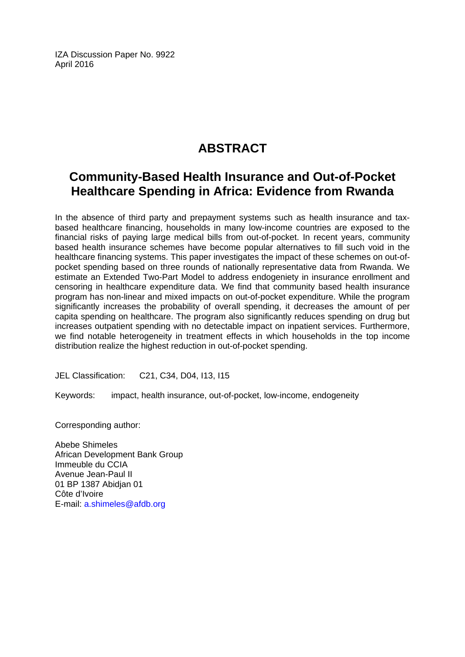IZA Discussion Paper No. 9922 April 2016

# **ABSTRACT**

# **Community-Based Health Insurance and Out-of-Pocket Healthcare Spending in Africa: Evidence from Rwanda**

In the absence of third party and prepayment systems such as health insurance and taxbased healthcare financing, households in many low-income countries are exposed to the financial risks of paying large medical bills from out-of-pocket. In recent years, community based health insurance schemes have become popular alternatives to fill such void in the healthcare financing systems. This paper investigates the impact of these schemes on out-ofpocket spending based on three rounds of nationally representative data from Rwanda. We estimate an Extended Two-Part Model to address endogeniety in insurance enrollment and censoring in healthcare expenditure data. We find that community based health insurance program has non-linear and mixed impacts on out-of-pocket expenditure. While the program significantly increases the probability of overall spending, it decreases the amount of per capita spending on healthcare. The program also significantly reduces spending on drug but increases outpatient spending with no detectable impact on inpatient services. Furthermore, we find notable heterogeneity in treatment effects in which households in the top income distribution realize the highest reduction in out-of-pocket spending.

JEL Classification: C21, C34, D04, I13, I15

Keywords: impact, health insurance, out-of-pocket, low-income, endogeneity

Corresponding author:

Abebe Shimeles African Development Bank Group Immeuble du CCIA Avenue Jean-Paul II 01 BP 1387 Abidjan 01 Côte d'Ivoire E-mail: a.shimeles@afdb.org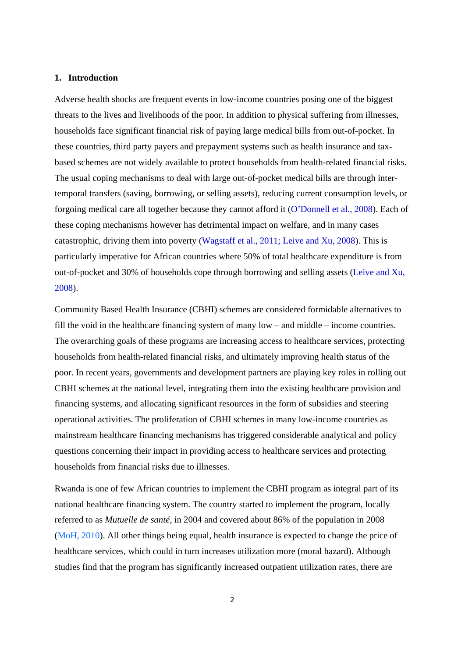#### **1. Introduction**

Adverse health shocks are frequent events in low-income countries posing one of the biggest threats to the lives and livelihoods of the poor. In addition to physical suffering from illnesses, households face significant financial risk of paying large medical bills from out-of-pocket. In these countries, third party payers and prepayment systems such as health insurance and taxbased schemes are not widely available to protect households from health-related financial risks. The usual coping mechanisms to deal with large out-of-pocket medical bills are through intertemporal transfers (saving, borrowing, or selling assets), reducing current consumption levels, or forgoing medical care all together because they cannot afford it (O'Donnell et al., 2008). Each of these coping mechanisms however has detrimental impact on welfare, and in many cases catastrophic, driving them into poverty (Wagstaff et al., 2011; Leive and Xu, 2008). This is particularly imperative for African countries where 50% of total healthcare expenditure is from out-of-pocket and 30% of households cope through borrowing and selling assets (Leive and Xu, 2008).

Community Based Health Insurance (CBHI) schemes are considered formidable alternatives to fill the void in the healthcare financing system of many low – and middle – income countries. The overarching goals of these programs are increasing access to healthcare services, protecting households from health-related financial risks, and ultimately improving health status of the poor. In recent years, governments and development partners are playing key roles in rolling out CBHI schemes at the national level, integrating them into the existing healthcare provision and financing systems, and allocating significant resources in the form of subsidies and steering operational activities. The proliferation of CBHI schemes in many low-income countries as mainstream healthcare financing mechanisms has triggered considerable analytical and policy questions concerning their impact in providing access to healthcare services and protecting households from financial risks due to illnesses.

Rwanda is one of few African countries to implement the CBHI program as integral part of its national healthcare financing system. The country started to implement the program, locally referred to as *Mutuelle de santé*, in 2004 and covered about 86% of the population in 2008 (MoH, 2010). All other things being equal, health insurance is expected to change the price of healthcare services, which could in turn increases utilization more (moral hazard). Although studies find that the program has significantly increased outpatient utilization rates, there are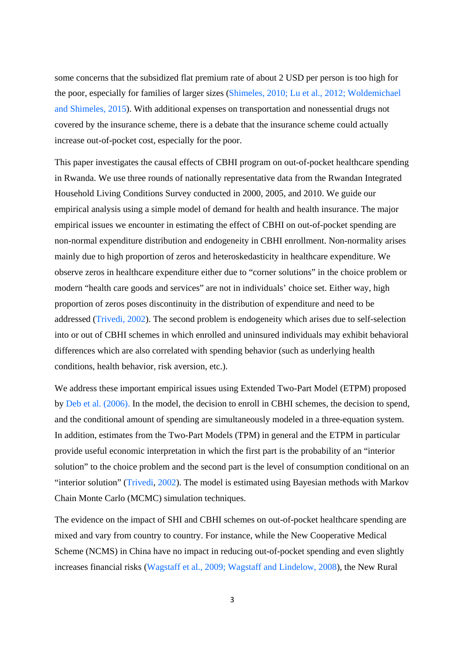some concerns that the subsidized flat premium rate of about 2 USD per person is too high for the poor, especially for families of larger sizes (Shimeles, 2010; Lu et al., 2012; Woldemichael and Shimeles, 2015). With additional expenses on transportation and nonessential drugs not covered by the insurance scheme, there is a debate that the insurance scheme could actually increase out-of-pocket cost, especially for the poor.

This paper investigates the causal effects of CBHI program on out-of-pocket healthcare spending in Rwanda. We use three rounds of nationally representative data from the Rwandan Integrated Household Living Conditions Survey conducted in 2000, 2005, and 2010. We guide our empirical analysis using a simple model of demand for health and health insurance. The major empirical issues we encounter in estimating the effect of CBHI on out-of-pocket spending are non-normal expenditure distribution and endogeneity in CBHI enrollment. Non-normality arises mainly due to high proportion of zeros and heteroskedasticity in healthcare expenditure. We observe zeros in healthcare expenditure either due to "corner solutions" in the choice problem or modern "health care goods and services" are not in individuals' choice set. Either way, high proportion of zeros poses discontinuity in the distribution of expenditure and need to be addressed (Trivedi, 2002). The second problem is endogeneity which arises due to self-selection into or out of CBHI schemes in which enrolled and uninsured individuals may exhibit behavioral differences which are also correlated with spending behavior (such as underlying health conditions, health behavior, risk aversion, etc.).

We address these important empirical issues using Extended Two-Part Model (ETPM) proposed by Deb et al. (2006). In the model, the decision to enroll in CBHI schemes, the decision to spend, and the conditional amount of spending are simultaneously modeled in a three-equation system. In addition, estimates from the Two-Part Models (TPM) in general and the ETPM in particular provide useful economic interpretation in which the first part is the probability of an "interior solution" to the choice problem and the second part is the level of consumption conditional on an "interior solution" (Trivedi, 2002). The model is estimated using Bayesian methods with Markov Chain Monte Carlo (MCMC) simulation techniques.

The evidence on the impact of SHI and CBHI schemes on out-of-pocket healthcare spending are mixed and vary from country to country. For instance, while the New Cooperative Medical Scheme (NCMS) in China have no impact in reducing out-of-pocket spending and even slightly increases financial risks (Wagstaff et al., 2009; Wagstaff and Lindelow, 2008), the New Rural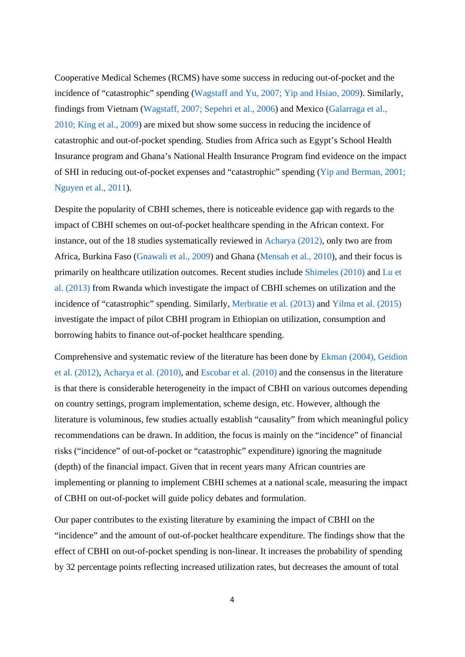Cooperative Medical Schemes (RCMS) have some success in reducing out-of-pocket and the incidence of "catastrophic" spending (Wagstaff and Yu, 2007; Yip and Hsiao, 2009). Similarly, findings from Vietnam (Wagstaff, 2007; Sepehri et al., 2006) and Mexico (Galarraga et al., 2010; King et al., 2009) are mixed but show some success in reducing the incidence of catastrophic and out-of-pocket spending. Studies from Africa such as Egypt's School Health Insurance program and Ghana's National Health Insurance Program find evidence on the impact of SHI in reducing out-of-pocket expenses and "catastrophic" spending (Yip and Berman, 2001; Nguyen et al., 2011).

Despite the popularity of CBHI schemes, there is noticeable evidence gap with regards to the impact of CBHI schemes on out-of-pocket healthcare spending in the African context. For instance, out of the 18 studies systematically reviewed in Acharya (2012), only two are from Africa, Burkina Faso (Gnawali et al., 2009) and Ghana (Mensah et al., 2010), and their focus is primarily on healthcare utilization outcomes. Recent studies include Shimeles (2010) and Lu et al. (2013) from Rwanda which investigate the impact of CBHI schemes on utilization and the incidence of "catastrophic" spending. Similarly, Merbratie et al. (2013) and Yilma et al. (2015) investigate the impact of pilot CBHI program in Ethiopian on utilization, consumption and borrowing habits to finance out-of-pocket healthcare spending.

Comprehensive and systematic review of the literature has been done by Ekman (2004), Geidion et al. (2012), Acharya et al. (2010), and Escobar et al. (2010) and the consensus in the literature is that there is considerable heterogeneity in the impact of CBHI on various outcomes depending on country settings, program implementation, scheme design, etc. However, although the literature is voluminous, few studies actually establish "causality" from which meaningful policy recommendations can be drawn. In addition, the focus is mainly on the "incidence" of financial risks ("incidence" of out-of-pocket or "catastrophic" expenditure) ignoring the magnitude (depth) of the financial impact. Given that in recent years many African countries are implementing or planning to implement CBHI schemes at a national scale, measuring the impact of CBHI on out-of-pocket will guide policy debates and formulation.

Our paper contributes to the existing literature by examining the impact of CBHI on the "incidence" and the amount of out-of-pocket healthcare expenditure. The findings show that the effect of CBHI on out-of-pocket spending is non-linear. It increases the probability of spending by 32 percentage points reflecting increased utilization rates, but decreases the amount of total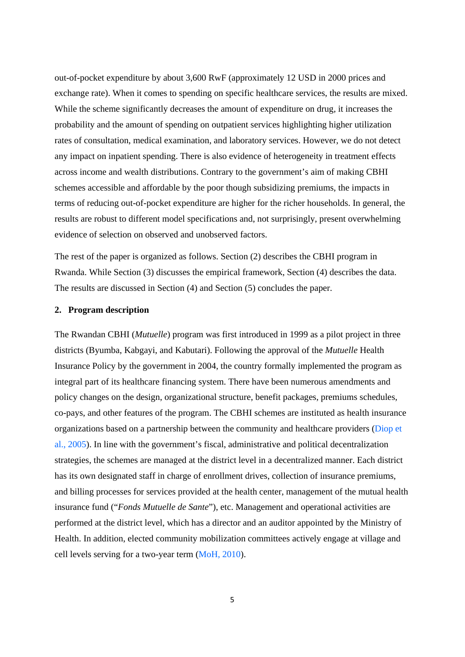out-of-pocket expenditure by about 3,600 RwF (approximately 12 USD in 2000 prices and exchange rate). When it comes to spending on specific healthcare services, the results are mixed. While the scheme significantly decreases the amount of expenditure on drug, it increases the probability and the amount of spending on outpatient services highlighting higher utilization rates of consultation, medical examination, and laboratory services. However, we do not detect any impact on inpatient spending. There is also evidence of heterogeneity in treatment effects across income and wealth distributions. Contrary to the government's aim of making CBHI schemes accessible and affordable by the poor though subsidizing premiums, the impacts in terms of reducing out-of-pocket expenditure are higher for the richer households. In general, the results are robust to different model specifications and, not surprisingly, present overwhelming evidence of selection on observed and unobserved factors.

The rest of the paper is organized as follows. Section (2) describes the CBHI program in Rwanda. While Section (3) discusses the empirical framework, Section (4) describes the data. The results are discussed in Section (4) and Section (5) concludes the paper.

#### **2. Program description**

The Rwandan CBHI (*Mutuelle*) program was first introduced in 1999 as a pilot project in three districts (Byumba, Kabgayi, and Kabutari). Following the approval of the *Mutuelle* Health Insurance Policy by the government in 2004, the country formally implemented the program as integral part of its healthcare financing system. There have been numerous amendments and policy changes on the design, organizational structure, benefit packages, premiums schedules, co-pays, and other features of the program. The CBHI schemes are instituted as health insurance organizations based on a partnership between the community and healthcare providers (Diop et al., 2005). In line with the government's fiscal, administrative and political decentralization strategies, the schemes are managed at the district level in a decentralized manner. Each district has its own designated staff in charge of enrollment drives, collection of insurance premiums, and billing processes for services provided at the health center, management of the mutual health insurance fund ("*Fonds Mutuelle de Sante*"), etc. Management and operational activities are performed at the district level, which has a director and an auditor appointed by the Ministry of Health. In addition, elected community mobilization committees actively engage at village and cell levels serving for a two-year term (MoH, 2010).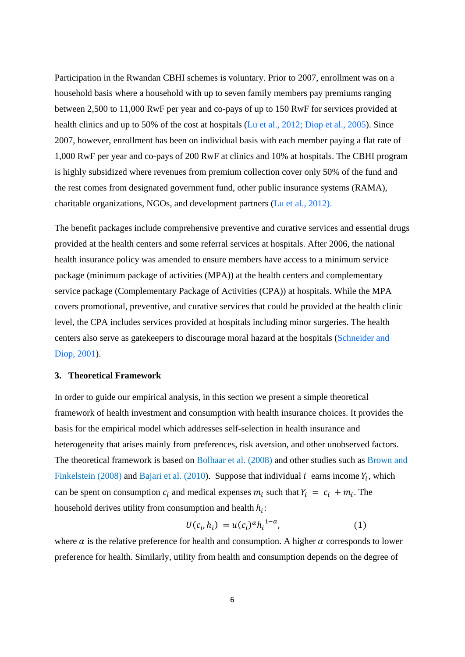Participation in the Rwandan CBHI schemes is voluntary. Prior to 2007, enrollment was on a household basis where a household with up to seven family members pay premiums ranging between 2,500 to 11,000 RwF per year and co-pays of up to 150 RwF for services provided at health clinics and up to 50% of the cost at hospitals (Lu et al., 2012; Diop et al., 2005). Since 2007, however, enrollment has been on individual basis with each member paying a flat rate of 1,000 RwF per year and co-pays of 200 RwF at clinics and 10% at hospitals. The CBHI program is highly subsidized where revenues from premium collection cover only 50% of the fund and the rest comes from designated government fund, other public insurance systems (RAMA), charitable organizations, NGOs, and development partners (Lu et al., 2012).

The benefit packages include comprehensive preventive and curative services and essential drugs provided at the health centers and some referral services at hospitals. After 2006, the national health insurance policy was amended to ensure members have access to a minimum service package (minimum package of activities (MPA)) at the health centers and complementary service package (Complementary Package of Activities (CPA)) at hospitals. While the MPA covers promotional, preventive, and curative services that could be provided at the health clinic level, the CPA includes services provided at hospitals including minor surgeries. The health centers also serve as gatekeepers to discourage moral hazard at the hospitals (Schneider and Diop, 2001).

#### **3. Theoretical Framework**

In order to guide our empirical analysis, in this section we present a simple theoretical framework of health investment and consumption with health insurance choices. It provides the basis for the empirical model which addresses self-selection in health insurance and heterogeneity that arises mainly from preferences, risk aversion, and other unobserved factors. The theoretical framework is based on Bolhaar et al. (2008) and other studies such as Brown and Finkelstein (2008) and Bajari et al. (2010). Suppose that individual  $i$  earns income  $Y_i$ , which can be spent on consumption  $c_i$  and medical expenses  $m_i$  such that  $Y_i = c_i + m_i$ . The household derives utility from consumption and health  $h_i$ :

$$
U(c_i, h_i) = u(c_i)^{\alpha} h_i^{1-\alpha}, \tag{1}
$$

where  $\alpha$  is the relative preference for health and consumption. A higher  $\alpha$  corresponds to lower preference for health. Similarly, utility from health and consumption depends on the degree of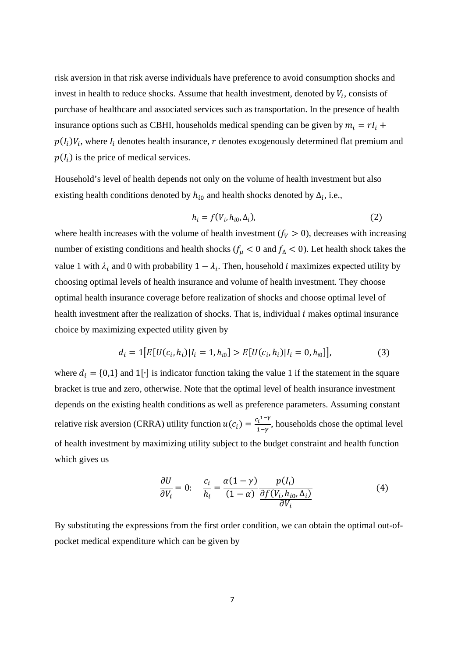risk aversion in that risk averse individuals have preference to avoid consumption shocks and invest in health to reduce shocks. Assume that health investment, denoted by  $V_i$ , consists of purchase of healthcare and associated services such as transportation. In the presence of health insurance options such as CBHI, households medical spending can be given by  $m_i = rI_i +$  $p(I_i)V_i$ , where  $I_i$  denotes health insurance, r denotes exogenously determined flat premium and  $p(I_i)$  is the price of medical services.

Household's level of health depends not only on the volume of health investment but also existing health conditions denoted by  $h_{i0}$  and health shocks denoted by  $\Delta_i$ , i.e.,

$$
h_i = f(V_i, h_{i0}, \Delta_i), \tag{2}
$$

where health increases with the volume of health investment  $(f_V > 0)$ , decreases with increasing number of existing conditions and health shocks ( $f_\mu$  < 0 and  $f_\Delta$  < 0). Let health shock takes the value 1 with  $\lambda_i$  and 0 with probability  $1 - \lambda_i$ . Then, household *i* maximizes expected utility by choosing optimal levels of health insurance and volume of health investment. They choose optimal health insurance coverage before realization of shocks and choose optimal level of health investment after the realization of shocks. That is, individual  $i$  makes optimal insurance choice by maximizing expected utility given by

$$
d_i = 1[E[U(c_i, h_i)|I_i = 1, h_{i0}] > E[U(c_i, h_i)|I_i = 0, h_{i0}]\,,
$$
\n(3)

where  $d_i = \{0,1\}$  and 1[⋅] is indicator function taking the value 1 if the statement in the square bracket is true and zero, otherwise. Note that the optimal level of health insurance investment depends on the existing health conditions as well as preference parameters. Assuming constant relative risk aversion (CRRA) utility function  $u(c_i) = \frac{c_i^{1-\gamma}}{1-\gamma}$ , households chose the optimal level of health investment by maximizing utility subject to the budget constraint and health function which gives us

$$
\frac{\partial U}{\partial V_i} = 0: \quad \frac{c_i}{h_i} = \frac{\alpha(1-\gamma)}{(1-\alpha)} \frac{p(I_i)}{\frac{\partial f(V_i, h_{i0}, \Delta_i)}{\partial V_i}} \tag{4}
$$

By substituting the expressions from the first order condition, we can obtain the optimal out-ofpocket medical expenditure which can be given by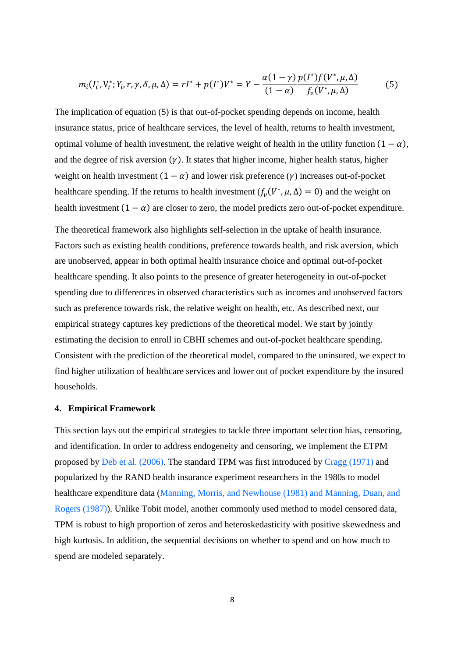$$
m_i(I_i^*, V_i^*; Y_i, r, \gamma, \delta, \mu, \Delta) = rI^* + p(I^*)V^* = Y - \frac{\alpha(1-\gamma)}{(1-\alpha)} \frac{p(I^*)f(V^*, \mu, \Delta)}{f_v(V^*, \mu, \Delta)} \tag{5}
$$

The implication of equation (5) is that out-of-pocket spending depends on income, health insurance status, price of healthcare services, the level of health, returns to health investment, optimal volume of health investment, the relative weight of health in the utility function  $(1 - \alpha)$ , and the degree of risk aversion  $(y)$ . It states that higher income, higher health status, higher weight on health investment  $(1 - \alpha)$  and lower risk preference ( $\gamma$ ) increases out-of-pocket healthcare spending. If the returns to health investment  $(f_\nu(V^*, \mu, \Delta) = 0)$  and the weight on health investment  $(1 - \alpha)$  are closer to zero, the model predicts zero out-of-pocket expenditure.

The theoretical framework also highlights self-selection in the uptake of health insurance. Factors such as existing health conditions, preference towards health, and risk aversion, which are unobserved, appear in both optimal health insurance choice and optimal out-of-pocket healthcare spending. It also points to the presence of greater heterogeneity in out-of-pocket spending due to differences in observed characteristics such as incomes and unobserved factors such as preference towards risk, the relative weight on health, etc. As described next, our empirical strategy captures key predictions of the theoretical model. We start by jointly estimating the decision to enroll in CBHI schemes and out-of-pocket healthcare spending. Consistent with the prediction of the theoretical model, compared to the uninsured, we expect to find higher utilization of healthcare services and lower out of pocket expenditure by the insured households.

#### **4. Empirical Framework**

This section lays out the empirical strategies to tackle three important selection bias, censoring, and identification. In order to address endogeneity and censoring, we implement the ETPM proposed by Deb et al. (2006). The standard TPM was first introduced by Cragg (1971) and popularized by the RAND health insurance experiment researchers in the 1980s to model healthcare expenditure data (Manning, Morris, and Newhouse (1981) and Manning, Duan, and Rogers (1987)). Unlike Tobit model, another commonly used method to model censored data, TPM is robust to high proportion of zeros and heteroskedasticity with positive skewedness and high kurtosis. In addition, the sequential decisions on whether to spend and on how much to spend are modeled separately.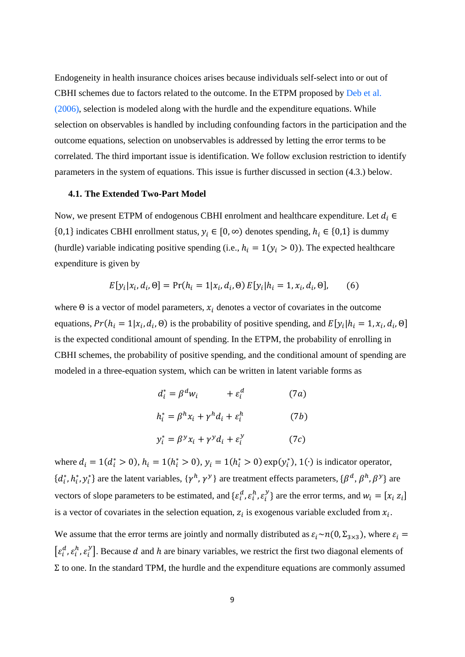Endogeneity in health insurance choices arises because individuals self-select into or out of CBHI schemes due to factors related to the outcome. In the ETPM proposed by Deb et al. (2006), selection is modeled along with the hurdle and the expenditure equations. While selection on observables is handled by including confounding factors in the participation and the outcome equations, selection on unobservables is addressed by letting the error terms to be correlated. The third important issue is identification. We follow exclusion restriction to identify parameters in the system of equations. This issue is further discussed in section (4.3.) below.

#### **4.1. The Extended Two-Part Model**

Now, we present ETPM of endogenous CBHI enrolment and healthcare expenditure. Let  $d_i \in$ {0,1} indicates CBHI enrollment status,  $y_i \in [0, \infty)$  denotes spending,  $h_i \in \{0, 1\}$  is dummy (hurdle) variable indicating positive spending (i.e.,  $h_i = 1(y_i > 0)$ ). The expected healthcare expenditure is given by

$$
E[y_i|x_i, d_i, \Theta] = \Pr(h_i = 1|x_i, d_i, \Theta) E[y_i|h_i = 1, x_i, d_i, \Theta],
$$
 (6)

where  $\Theta$  is a vector of model parameters,  $x_i$  denotes a vector of covariates in the outcome equations,  $Pr(h_i = 1 | x_i, d_i, \Theta)$  is the probability of positive spending, and  $E[y_i | h_i = 1, x_i, d_i, \Theta]$ is the expected conditional amount of spending. In the ETPM, the probability of enrolling in CBHI schemes, the probability of positive spending, and the conditional amount of spending are modeled in a three-equation system, which can be written in latent variable forms as

$$
d_i^* = \beta^d w_i + \varepsilon_i^d \qquad (7a)
$$
  

$$
h_i^* = \beta^h x_i + \gamma^h d_i + \varepsilon_i^h \qquad (7b)
$$
  

$$
y_i^* = \beta^y x_i + \gamma^y d_i + \varepsilon_i^y \qquad (7c)
$$

where  $d_i = 1(d_i^* > 0)$ ,  $h_i = 1(h_i^* > 0)$ ,  $y_i = 1(h_i^* > 0)$  exp $(y_i^*)$ , 1(·) is indicator operator,  $\{d_i^*, h_i^*, y_i^*\}$  are the latent variables,  $\{\gamma^h, \gamma^y\}$  are treatment effects parameters,  $\{\beta^d, \beta^h, \beta^y\}$  are vectors of slope parameters to be estimated, and  $\{\varepsilon_i^d, \varepsilon_i^h, \varepsilon_i^y\}$  are the error terms, and  $w_i = [x_i \, z_i]$ is a vector of covariates in the selection equation,  $z_i$  is exogenous variable excluded from  $x_i$ .

We assume that the error terms are jointly and normally distributed as  $\varepsilon_i \sim n(0, \Sigma_{3\times3})$ , where  $\varepsilon_i =$  $[\varepsilon_i^d, \varepsilon_i^h, \varepsilon_i^v]$ . Because d and h are binary variables, we restrict the first two diagonal elements of  $Σ$  to one. In the standard TPM, the hurdle and the expenditure equations are commonly assumed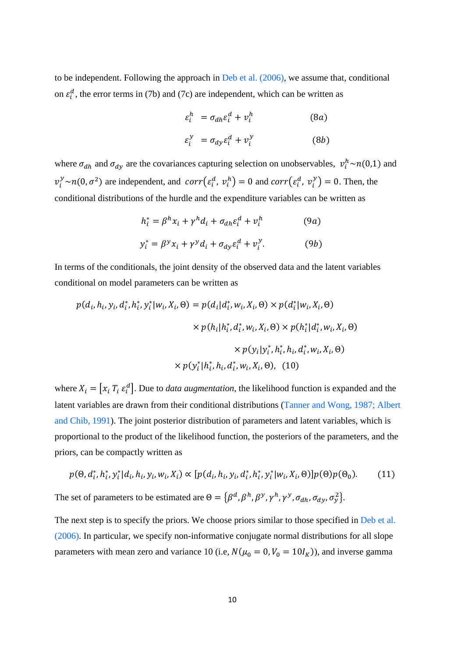to be independent. Following the approach in Deb et al. (2006), we assume that, conditional on  $\varepsilon_i^d$ , the error terms in (7b) and (7c) are independent, which can be written as

$$
\varepsilon_i^h = \sigma_{dh} \varepsilon_i^d + v_i^h \tag{8a}
$$
\n
$$
\varepsilon_i^y = \sigma_{dy} \varepsilon_i^d + v_i^y \tag{8b}
$$

where  $\sigma_{dh}$  and  $\sigma_{dy}$  are the covariances capturing selection on unobservables,  $v_i^h \sim n(0,1)$  and  $v_i^y \sim n(0, \sigma^2)$  are independent, and  $corr(\varepsilon_i^d, v_i^h) = 0$  and  $corr(\varepsilon_i^d, v_i^y) = 0$ . Then, the conditional distributions of the hurdle and the expenditure variables can be written as

$$
h_i^* = \beta^h x_i + \gamma^h d_i + \sigma_{dh} \varepsilon_i^d + v_i^h
$$
 (9a)  

$$
y_i^* = \beta^y x_i + \gamma^y d_i + \sigma_{dy} \varepsilon_i^d + v_i^y.
$$
 (9b)

In terms of the conditionals, the joint density of the observed data and the latent variables conditional on model parameters can be written as

$$
p(d_i, h_i, y_i, d_i^*, h_i^*, y_i^* | w_i, X_i, \Theta) = p(d_i | d_i^*, w_i, X_i, \Theta) \times p(d_i^* | w_i, X_i, \Theta)
$$
  

$$
\times p(h_i | h_i^*, d_i^*, w_i, X_i, \Theta) \times p(h_i^* | d_i^*, w_i, X_i, \Theta)
$$
  

$$
\times p(y_i | y_i^*, h_i^*, h_i, d_i^*, w_i, X_i, \Theta)
$$
  

$$
\times p(y_i^* | h_i^*, h_i, d_i^*, w_i, X_i, \Theta), (10)
$$

where  $X_i = [x_i \, T_i \, \varepsilon_i^d]$ . Due to *data augmentation*, the likelihood function is expanded and the latent variables are drawn from their conditional distributions (Tanner and Wong, 1987; Albert and Chib, 1991). The joint posterior distribution of parameters and latent variables, which is proportional to the product of the likelihood function, the posteriors of the parameters, and the priors, can be compactly written as

$$
p(\Theta, d_i^*, h_i^*, y_i^* | d_i, h_i, y_i, w_i, X_i) \propto [p(d_i, h_i, y_i, d_i^*, h_i^*, y_i^* | w_i, X_i, \Theta)] p(\Theta) p(\Theta_0).
$$
 (11)  
The set of parameters to be estimated are  $\Theta = \{\beta^d, \beta^h, \beta^y, \gamma^h, \gamma^y, \sigma_{dh}, \sigma_{dy}, \sigma_y^2\}.$ 

The next step is to specify the priors. We choose priors similar to those specified in Deb et al. (2006). In particular, we specify non-informative conjugate normal distributions for all slope parameters with mean zero and variance 10 (i.e,  $N(\mu_0 = 0, V_0 = 10I_K)$ ), and inverse gamma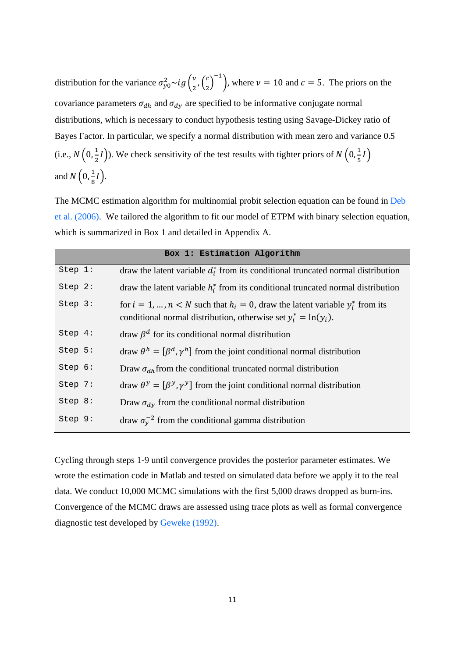distribution for the variance  $\sigma_{y0}^2 \sim ig \left( \frac{v}{2}, \left( \frac{c}{2} \right) \right)$  $\left(\frac{c}{2}\right)^{-1}$ , where  $\nu = 10$  and  $c = 5$ . The priors on the covariance parameters  $\sigma_{dh}$  and  $\sigma_{dy}$  are specified to be informative conjugate normal distributions, which is necessary to conduct hypothesis testing using Savage-Dickey ratio of Bayes Factor. In particular, we specify a normal distribution with mean zero and variance 0.5 (i.e.,  $N\left(0, \frac{1}{2}I\right)$ ). We check sensitivity of the test results with tighter priors of  $N\left(0, \frac{1}{5}I\right)$ and  $N\left(0, \frac{1}{8}I\right)$ .

The MCMC estimation algorithm for multinomial probit selection equation can be found in Deb et al. (2006). We tailored the algorithm to fit our model of ETPM with binary selection equation, which is summarized in Box 1 and detailed in Appendix A.

|         | Box 1: Estimation Algorithm                                                                                                                                 |
|---------|-------------------------------------------------------------------------------------------------------------------------------------------------------------|
| Step 1: | draw the latent variable $d_i^*$ from its conditional truncated normal distribution                                                                         |
| Step 2: | draw the latent variable $h_i^*$ from its conditional truncated normal distribution                                                                         |
| Step 3: | for $i = 1, , n < N$ such that $h_i = 0$ , draw the latent variable $y_i^*$ from its<br>conditional normal distribution, otherwise set $y_i^* = \ln(y_i)$ . |
| Step 4: | draw $\beta^d$ for its conditional normal distribution                                                                                                      |
| Step 5: | draw $\theta^h = [\beta^d, \gamma^h]$ from the joint conditional normal distribution                                                                        |
| Step 6: | Draw $\sigma_{dh}$ from the conditional truncated normal distribution                                                                                       |
| Step 7: | draw $\theta^y = [\beta^y, \gamma^y]$ from the joint conditional normal distribution                                                                        |
| Step 8: | Draw $\sigma_{dy}$ from the conditional normal distribution                                                                                                 |
| Step 9: | draw $\sigma_{v}^{-2}$ from the conditional gamma distribution                                                                                              |

Cycling through steps 1-9 until convergence provides the posterior parameter estimates. We wrote the estimation code in Matlab and tested on simulated data before we apply it to the real data. We conduct 10,000 MCMC simulations with the first 5,000 draws dropped as burn-ins. Convergence of the MCMC draws are assessed using trace plots as well as formal convergence diagnostic test developed by Geweke (1992).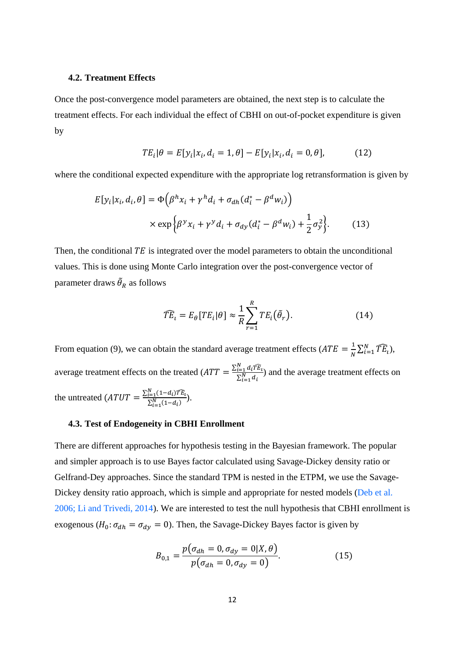#### **4.2. Treatment Effects**

Once the post-convergence model parameters are obtained, the next step is to calculate the treatment effects. For each individual the effect of CBHI on out-of-pocket expenditure is given by

$$
TE_i | \theta = E[y_i | x_i, d_i = 1, \theta] - E[y_i | x_i, d_i = 0, \theta],
$$
 (12)

where the conditional expected expenditure with the appropriate log retransformation is given by

$$
E[y_i|x_i, d_i, \theta] = \Phi\left(\beta^h x_i + \gamma^h d_i + \sigma_{dh}(d_i^* - \beta^d w_i)\right)
$$

$$
\times \exp\left\{\beta^y x_i + \gamma^y d_i + \sigma_{dy}(d_i^* - \beta^d w_i) + \frac{1}{2}\sigma_y^2\right\}.
$$
(13)

Then, the conditional  $TE$  is integrated over the model parameters to obtain the unconditional values. This is done using Monte Carlo integration over the post-convergence vector of parameter draws  $\tilde{\theta}_R$  as follows

$$
\widehat{TE}_t = E_\theta[TE_i|\theta] \approx \frac{1}{R} \sum_{r=1}^R TE_i(\tilde{\theta}_r). \tag{14}
$$

From equation (9), we can obtain the standard average treatment effects  $(ATE = \frac{1}{N} \sum_{i=1}^{N} \widehat{TE}_i)$ , average treatment effects on the treated  $(ATT = \frac{\sum_{i=1}^{N} d_i TE_i}{\sum_{i=1}^{N} d_i}$  $\frac{\sum_{i=1}^{i} a_i t^{i} E_i}{\sum_{i=1}^{N} d_i}$  and the average treatment effects on the untreated  $\left( ATUT = \frac{\sum_{i=1}^{N} (1-d_i) \widehat{TE_i}}{\sum_{i=1}^{N} (1-d_i)}\right).$ 

#### **4.3. Test of Endogeneity in CBHI Enrollment**

There are different approaches for hypothesis testing in the Bayesian framework. The popular and simpler approach is to use Bayes factor calculated using Savage-Dickey density ratio or Gelfrand-Dey approaches. Since the standard TPM is nested in the ETPM, we use the Savage-Dickey density ratio approach, which is simple and appropriate for nested models (Deb et al. 2006; Li and Trivedi, 2014). We are interested to test the null hypothesis that CBHI enrollment is exogenous ( $H_0: \sigma_{dh} = \sigma_{dy} = 0$ ). Then, the Savage-Dickey Bayes factor is given by

$$
B_{0,1} = \frac{p(\sigma_{dh} = 0, \sigma_{dy} = 0 | X, \theta)}{p(\sigma_{dh} = 0, \sigma_{dy} = 0)}.
$$
 (15)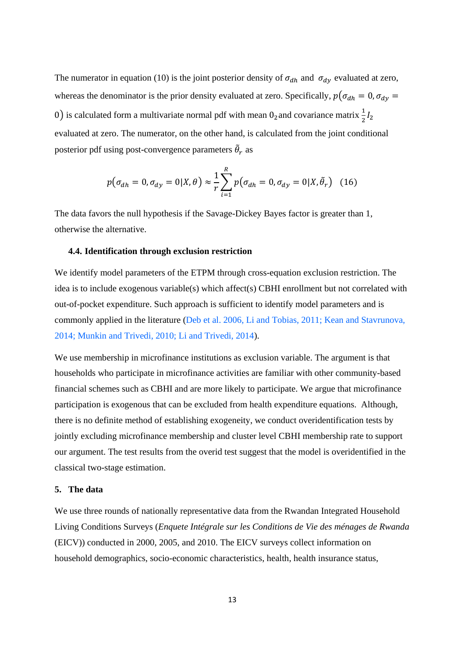The numerator in equation (10) is the joint posterior density of  $\sigma_{dh}$  and  $\sigma_{dy}$  evaluated at zero, whereas the denominator is the prior density evaluated at zero. Specifically,  $p(\sigma_{dh} = 0, \sigma_{dy} = 0)$ 0) is calculated form a multivariate normal pdf with mean 0<sub>2</sub> and covariance matrix  $\frac{1}{2}I_2$ evaluated at zero. The numerator, on the other hand, is calculated from the joint conditional posterior pdf using post-convergence parameters  $\tilde{\theta}_r$  as

$$
p(\sigma_{dh} = 0, \sigma_{dy} = 0 | X, \theta) \approx \frac{1}{r} \sum_{i=1}^{R} p(\sigma_{dh} = 0, \sigma_{dy} = 0 | X, \tilde{\theta}_r)
$$
 (16)

The data favors the null hypothesis if the Savage-Dickey Bayes factor is greater than 1, otherwise the alternative.

#### **4.4. Identification through exclusion restriction**

We identify model parameters of the ETPM through cross-equation exclusion restriction. The idea is to include exogenous variable(s) which affect(s) CBHI enrollment but not correlated with out-of-pocket expenditure. Such approach is sufficient to identify model parameters and is commonly applied in the literature (Deb et al. 2006, Li and Tobias, 2011; Kean and Stavrunova, 2014; Munkin and Trivedi, 2010; Li and Trivedi, 2014).

We use membership in microfinance institutions as exclusion variable. The argument is that households who participate in microfinance activities are familiar with other community-based financial schemes such as CBHI and are more likely to participate. We argue that microfinance participation is exogenous that can be excluded from health expenditure equations. Although, there is no definite method of establishing exogeneity, we conduct overidentification tests by jointly excluding microfinance membership and cluster level CBHI membership rate to support our argument. The test results from the overid test suggest that the model is overidentified in the classical two-stage estimation.

#### **5. The data**

We use three rounds of nationally representative data from the Rwandan Integrated Household Living Conditions Surveys (*Enquete Intégrale sur les Conditions de Vie des ménages de Rwanda* (EICV)) conducted in 2000, 2005, and 2010. The EICV surveys collect information on household demographics, socio-economic characteristics, health, health insurance status,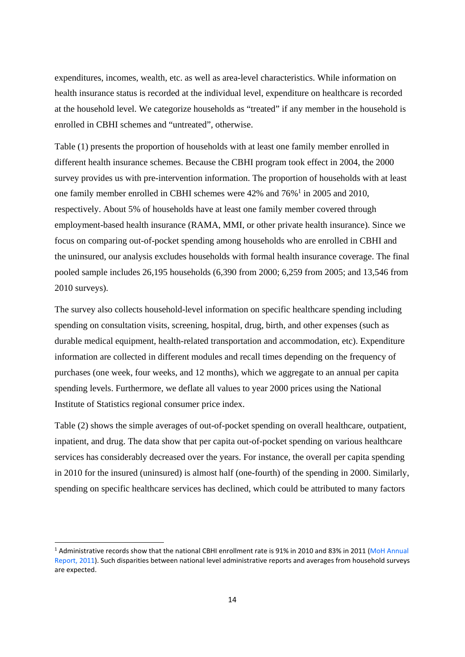expenditures, incomes, wealth, etc. as well as area-level characteristics. While information on health insurance status is recorded at the individual level, expenditure on healthcare is recorded at the household level. We categorize households as "treated" if any member in the household is enrolled in CBHI schemes and "untreated", otherwise.

Table (1) presents the proportion of households with at least one family member enrolled in different health insurance schemes. Because the CBHI program took effect in 2004, the 2000 survey provides us with pre-intervention information. The proportion of households with at least one family member enrolled in CBHI schemes were 42% and 76%<sup>1</sup> in 2005 and 2010, respectively. About 5% of households have at least one family member covered through employment-based health insurance (RAMA, MMI, or other private health insurance). Since we focus on comparing out-of-pocket spending among households who are enrolled in CBHI and the uninsured, our analysis excludes households with formal health insurance coverage. The final pooled sample includes 26,195 households (6,390 from 2000; 6,259 from 2005; and 13,546 from 2010 surveys).

The survey also collects household-level information on specific healthcare spending including spending on consultation visits, screening, hospital, drug, birth, and other expenses (such as durable medical equipment, health-related transportation and accommodation, etc). Expenditure information are collected in different modules and recall times depending on the frequency of purchases (one week, four weeks, and 12 months), which we aggregate to an annual per capita spending levels. Furthermore, we deflate all values to year 2000 prices using the National Institute of Statistics regional consumer price index.

Table (2) shows the simple averages of out-of-pocket spending on overall healthcare, outpatient, inpatient, and drug. The data show that per capita out-of-pocket spending on various healthcare services has considerably decreased over the years. For instance, the overall per capita spending in 2010 for the insured (uninsured) is almost half (one-fourth) of the spending in 2000. Similarly, spending on specific healthcare services has declined, which could be attributed to many factors

<sup>&</sup>lt;sup>1</sup> Administrative records show that the national CBHI enrollment rate is 91% in 2010 and 83% in 2011 (MoH Annual Report, 2011). Such disparities between national level administrative reports and averages from household surveys are expected.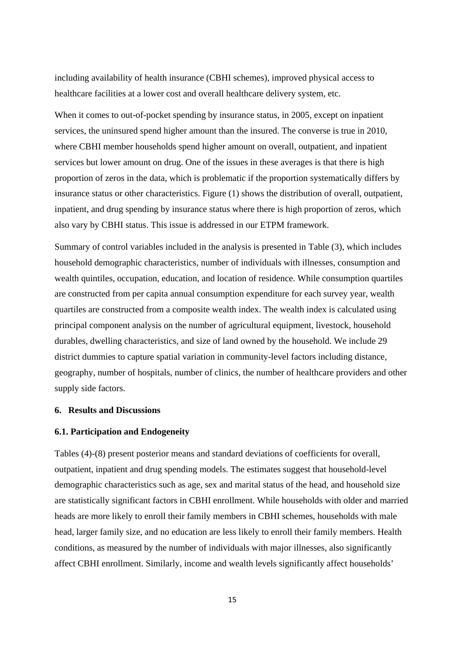including availability of health insurance (CBHI schemes), improved physical access to healthcare facilities at a lower cost and overall healthcare delivery system, etc.

When it comes to out-of-pocket spending by insurance status, in 2005, except on inpatient services, the uninsured spend higher amount than the insured. The converse is true in 2010, where CBHI member households spend higher amount on overall, outpatient, and inpatient services but lower amount on drug. One of the issues in these averages is that there is high proportion of zeros in the data, which is problematic if the proportion systematically differs by insurance status or other characteristics. Figure (1) shows the distribution of overall, outpatient, inpatient, and drug spending by insurance status where there is high proportion of zeros, which also vary by CBHI status. This issue is addressed in our ETPM framework.

Summary of control variables included in the analysis is presented in Table (3), which includes household demographic characteristics, number of individuals with illnesses, consumption and wealth quintiles, occupation, education, and location of residence. While consumption quartiles are constructed from per capita annual consumption expenditure for each survey year, wealth quartiles are constructed from a composite wealth index. The wealth index is calculated using principal component analysis on the number of agricultural equipment, livestock, household durables, dwelling characteristics, and size of land owned by the household. We include 29 district dummies to capture spatial variation in community-level factors including distance, geography, number of hospitals, number of clinics, the number of healthcare providers and other supply side factors.

#### **6. Results and Discussions**

#### **6.1. Participation and Endogeneity**

Tables (4)-(8) present posterior means and standard deviations of coefficients for overall, outpatient, inpatient and drug spending models. The estimates suggest that household-level demographic characteristics such as age, sex and marital status of the head, and household size are statistically significant factors in CBHI enrollment. While households with older and married heads are more likely to enroll their family members in CBHI schemes, households with male head, larger family size, and no education are less likely to enroll their family members. Health conditions, as measured by the number of individuals with major illnesses, also significantly affect CBHI enrollment. Similarly, income and wealth levels significantly affect households'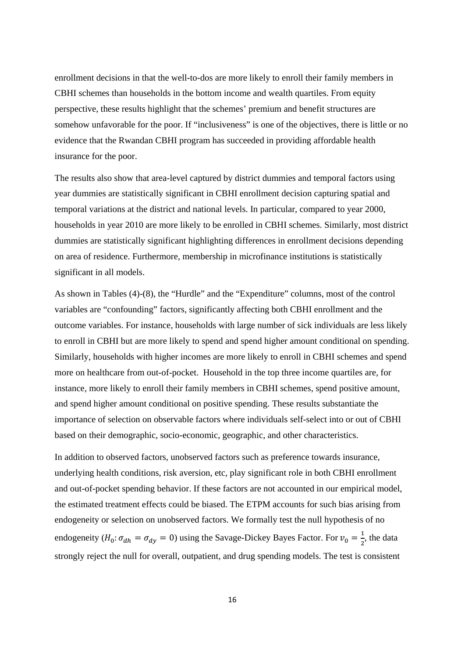enrollment decisions in that the well-to-dos are more likely to enroll their family members in CBHI schemes than households in the bottom income and wealth quartiles. From equity perspective, these results highlight that the schemes' premium and benefit structures are somehow unfavorable for the poor. If "inclusiveness" is one of the objectives, there is little or no evidence that the Rwandan CBHI program has succeeded in providing affordable health insurance for the poor.

The results also show that area-level captured by district dummies and temporal factors using year dummies are statistically significant in CBHI enrollment decision capturing spatial and temporal variations at the district and national levels. In particular, compared to year 2000, households in year 2010 are more likely to be enrolled in CBHI schemes. Similarly, most district dummies are statistically significant highlighting differences in enrollment decisions depending on area of residence. Furthermore, membership in microfinance institutions is statistically significant in all models.

As shown in Tables (4)-(8), the "Hurdle" and the "Expenditure" columns, most of the control variables are "confounding" factors, significantly affecting both CBHI enrollment and the outcome variables. For instance, households with large number of sick individuals are less likely to enroll in CBHI but are more likely to spend and spend higher amount conditional on spending. Similarly, households with higher incomes are more likely to enroll in CBHI schemes and spend more on healthcare from out-of-pocket. Household in the top three income quartiles are, for instance, more likely to enroll their family members in CBHI schemes, spend positive amount, and spend higher amount conditional on positive spending. These results substantiate the importance of selection on observable factors where individuals self-select into or out of CBHI based on their demographic, socio-economic, geographic, and other characteristics.

In addition to observed factors, unobserved factors such as preference towards insurance, underlying health conditions, risk aversion, etc, play significant role in both CBHI enrollment and out-of-pocket spending behavior. If these factors are not accounted in our empirical model, the estimated treatment effects could be biased. The ETPM accounts for such bias arising from endogeneity or selection on unobserved factors. We formally test the null hypothesis of no endogeneity ( $H_0: \sigma_{dh} = \sigma_{dy} = 0$ ) using the Savage-Dickey Bayes Factor. For  $v_0 = \frac{1}{2}$ , the data strongly reject the null for overall, outpatient, and drug spending models. The test is consistent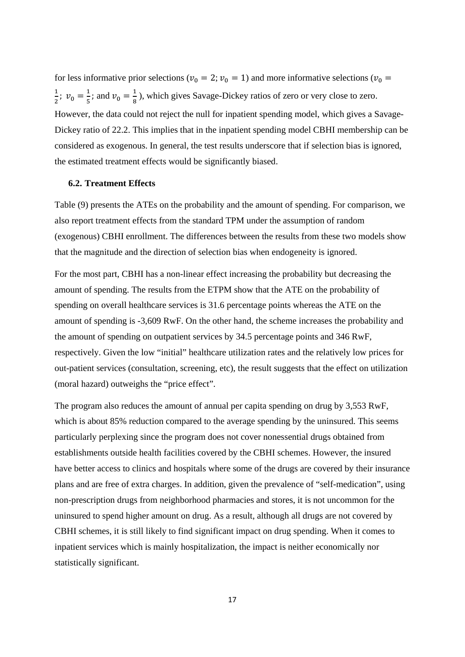for less informative prior selections ( $v_0 = 2$ ;  $v_0 = 1$ ) and more informative selections ( $v_0 =$  $\frac{1}{2}$ ;  $v_0 = \frac{1}{5}$ ; and  $v_0 = \frac{1}{8}$ ), which gives Savage-Dickey ratios of zero or very close to zero. However, the data could not reject the null for inpatient spending model, which gives a Savage-Dickey ratio of 22.2. This implies that in the inpatient spending model CBHI membership can be considered as exogenous. In general, the test results underscore that if selection bias is ignored, the estimated treatment effects would be significantly biased.

#### **6.2. Treatment Effects**

Table (9) presents the ATEs on the probability and the amount of spending. For comparison, we also report treatment effects from the standard TPM under the assumption of random (exogenous) CBHI enrollment. The differences between the results from these two models show that the magnitude and the direction of selection bias when endogeneity is ignored.

For the most part, CBHI has a non-linear effect increasing the probability but decreasing the amount of spending. The results from the ETPM show that the ATE on the probability of spending on overall healthcare services is 31.6 percentage points whereas the ATE on the amount of spending is -3,609 RwF. On the other hand, the scheme increases the probability and the amount of spending on outpatient services by 34.5 percentage points and 346 RwF, respectively. Given the low "initial" healthcare utilization rates and the relatively low prices for out-patient services (consultation, screening, etc), the result suggests that the effect on utilization (moral hazard) outweighs the "price effect".

The program also reduces the amount of annual per capita spending on drug by 3,553 RwF, which is about 85% reduction compared to the average spending by the uninsured. This seems particularly perplexing since the program does not cover nonessential drugs obtained from establishments outside health facilities covered by the CBHI schemes. However, the insured have better access to clinics and hospitals where some of the drugs are covered by their insurance plans and are free of extra charges. In addition, given the prevalence of "self-medication", using non-prescription drugs from neighborhood pharmacies and stores, it is not uncommon for the uninsured to spend higher amount on drug. As a result, although all drugs are not covered by CBHI schemes, it is still likely to find significant impact on drug spending. When it comes to inpatient services which is mainly hospitalization, the impact is neither economically nor statistically significant.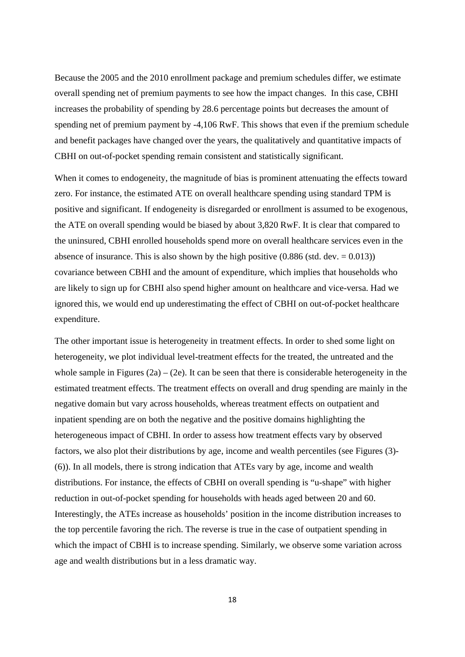Because the 2005 and the 2010 enrollment package and premium schedules differ, we estimate overall spending net of premium payments to see how the impact changes. In this case, CBHI increases the probability of spending by 28.6 percentage points but decreases the amount of spending net of premium payment by -4,106 RwF. This shows that even if the premium schedule and benefit packages have changed over the years, the qualitatively and quantitative impacts of CBHI on out-of-pocket spending remain consistent and statistically significant.

When it comes to endogeneity, the magnitude of bias is prominent attenuating the effects toward zero. For instance, the estimated ATE on overall healthcare spending using standard TPM is positive and significant. If endogeneity is disregarded or enrollment is assumed to be exogenous, the ATE on overall spending would be biased by about 3,820 RwF. It is clear that compared to the uninsured, CBHI enrolled households spend more on overall healthcare services even in the absence of insurance. This is also shown by the high positive  $(0.886 \text{ (std. dev.} = 0.013))$ covariance between CBHI and the amount of expenditure, which implies that households who are likely to sign up for CBHI also spend higher amount on healthcare and vice-versa. Had we ignored this, we would end up underestimating the effect of CBHI on out-of-pocket healthcare expenditure.

The other important issue is heterogeneity in treatment effects. In order to shed some light on heterogeneity, we plot individual level-treatment effects for the treated, the untreated and the whole sample in Figures  $(2a) - (2e)$ . It can be seen that there is considerable heterogeneity in the estimated treatment effects. The treatment effects on overall and drug spending are mainly in the negative domain but vary across households, whereas treatment effects on outpatient and inpatient spending are on both the negative and the positive domains highlighting the heterogeneous impact of CBHI. In order to assess how treatment effects vary by observed factors, we also plot their distributions by age, income and wealth percentiles (see Figures (3)- (6)). In all models, there is strong indication that ATEs vary by age, income and wealth distributions. For instance, the effects of CBHI on overall spending is "u-shape" with higher reduction in out-of-pocket spending for households with heads aged between 20 and 60. Interestingly, the ATEs increase as households' position in the income distribution increases to the top percentile favoring the rich. The reverse is true in the case of outpatient spending in which the impact of CBHI is to increase spending. Similarly, we observe some variation across age and wealth distributions but in a less dramatic way.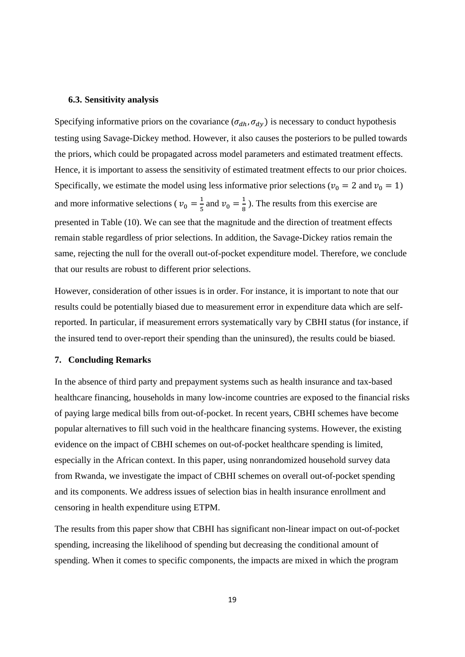#### **6.3. Sensitivity analysis**

Specifying informative priors on the covariance ( $\sigma_{dh}$ ,  $\sigma_{dy}$ ) is necessary to conduct hypothesis testing using Savage-Dickey method. However, it also causes the posteriors to be pulled towards the priors, which could be propagated across model parameters and estimated treatment effects. Hence, it is important to assess the sensitivity of estimated treatment effects to our prior choices. Specifically, we estimate the model using less informative prior selections ( $v_0 = 2$  and  $v_0 = 1$ ) and more informative selections ( $v_0 = \frac{1}{5}$  and  $v_0 = \frac{1}{8}$ ). The results from this exercise are presented in Table (10). We can see that the magnitude and the direction of treatment effects remain stable regardless of prior selections. In addition, the Savage-Dickey ratios remain the same, rejecting the null for the overall out-of-pocket expenditure model. Therefore, we conclude that our results are robust to different prior selections.

However, consideration of other issues is in order. For instance, it is important to note that our results could be potentially biased due to measurement error in expenditure data which are selfreported. In particular, if measurement errors systematically vary by CBHI status (for instance, if the insured tend to over-report their spending than the uninsured), the results could be biased.

#### **7. Concluding Remarks**

In the absence of third party and prepayment systems such as health insurance and tax-based healthcare financing, households in many low-income countries are exposed to the financial risks of paying large medical bills from out-of-pocket. In recent years, CBHI schemes have become popular alternatives to fill such void in the healthcare financing systems. However, the existing evidence on the impact of CBHI schemes on out-of-pocket healthcare spending is limited, especially in the African context. In this paper, using nonrandomized household survey data from Rwanda, we investigate the impact of CBHI schemes on overall out-of-pocket spending and its components. We address issues of selection bias in health insurance enrollment and censoring in health expenditure using ETPM.

The results from this paper show that CBHI has significant non-linear impact on out-of-pocket spending, increasing the likelihood of spending but decreasing the conditional amount of spending. When it comes to specific components, the impacts are mixed in which the program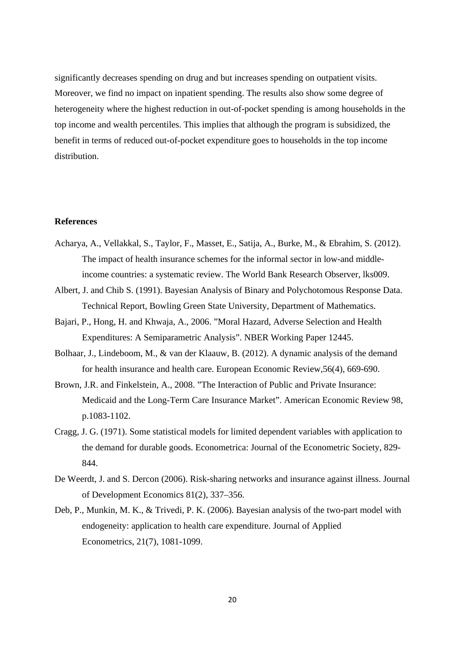significantly decreases spending on drug and but increases spending on outpatient visits. Moreover, we find no impact on inpatient spending. The results also show some degree of heterogeneity where the highest reduction in out-of-pocket spending is among households in the top income and wealth percentiles. This implies that although the program is subsidized, the benefit in terms of reduced out-of-pocket expenditure goes to households in the top income distribution.

#### **References**

- Acharya, A., Vellakkal, S., Taylor, F., Masset, E., Satija, A., Burke, M., & Ebrahim, S. (2012). The impact of health insurance schemes for the informal sector in low-and middleincome countries: a systematic review. The World Bank Research Observer, lks009.
- Albert, J. and Chib S. (1991). Bayesian Analysis of Binary and Polychotomous Response Data. Technical Report, Bowling Green State University, Department of Mathematics.
- Bajari, P., Hong, H. and Khwaja, A., 2006. "Moral Hazard, Adverse Selection and Health Expenditures: A Semiparametric Analysis". NBER Working Paper 12445.
- Bolhaar, J., Lindeboom, M., & van der Klaauw, B. (2012). A dynamic analysis of the demand for health insurance and health care. European Economic Review,56(4), 669-690.
- Brown, J.R. and Finkelstein, A., 2008. "The Interaction of Public and Private Insurance: Medicaid and the Long-Term Care Insurance Market". American Economic Review 98, p.1083-1102.
- Cragg, J. G. (1971). Some statistical models for limited dependent variables with application to the demand for durable goods. Econometrica: Journal of the Econometric Society, 829- 844.
- De Weerdt, J. and S. Dercon (2006). Risk-sharing networks and insurance against illness. Journal of Development Economics 81(2), 337–356.
- Deb, P., Munkin, M. K., & Trivedi, P. K. (2006). Bayesian analysis of the two-part model with endogeneity: application to health care expenditure. Journal of Applied Econometrics, 21(7), 1081-1099.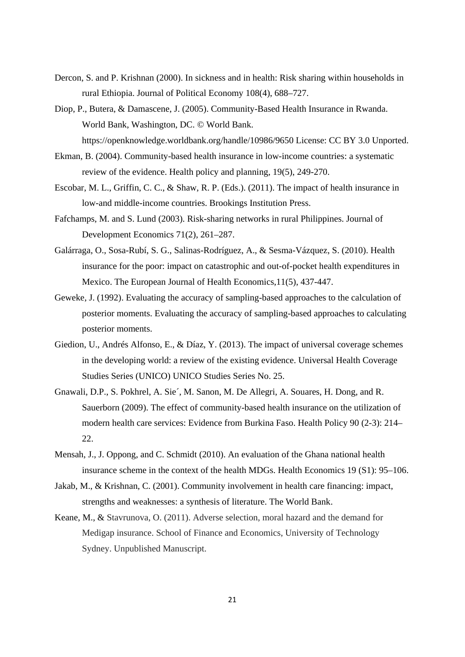- Dercon, S. and P. Krishnan (2000). In sickness and in health: Risk sharing within households in rural Ethiopia. Journal of Political Economy 108(4), 688–727.
- Diop, P., Butera, & Damascene, J. (2005). Community-Based Health Insurance in Rwanda. World Bank, Washington, DC. © World Bank. https://openknowledge.worldbank.org/handle/10986/9650 License: CC BY 3.0 Unported.
- Ekman, B. (2004). Community-based health insurance in low-income countries: a systematic review of the evidence. Health policy and planning, 19(5), 249-270.
- Escobar, M. L., Griffin, C. C., & Shaw, R. P. (Eds.). (2011). The impact of health insurance in low-and middle-income countries. Brookings Institution Press.
- Fafchamps, M. and S. Lund (2003). Risk-sharing networks in rural Philippines. Journal of Development Economics 71(2), 261–287.
- Galárraga, O., Sosa-Rubí, S. G., Salinas-Rodríguez, A., & Sesma-Vázquez, S. (2010). Health insurance for the poor: impact on catastrophic and out-of-pocket health expenditures in Mexico. The European Journal of Health Economics,11(5), 437-447.
- Geweke, J. (1992). Evaluating the accuracy of sampling-based approaches to the calculation of posterior moments. Evaluating the accuracy of sampling-based approaches to calculating posterior moments.
- Giedion, U., Andrés Alfonso, E., & Díaz, Y. (2013). The impact of universal coverage schemes in the developing world: a review of the existing evidence. Universal Health Coverage Studies Series (UNICO) UNICO Studies Series No. 25.
- Gnawali, D.P., S. Pokhrel, A. Sie´, M. Sanon, M. De Allegri, A. Souares, H. Dong, and R. Sauerborn (2009). The effect of community-based health insurance on the utilization of modern health care services: Evidence from Burkina Faso. Health Policy 90 (2-3): 214– 22.
- Mensah, J., J. Oppong, and C. Schmidt (2010). An evaluation of the Ghana national health insurance scheme in the context of the health MDGs. Health Economics 19 (S1): 95–106.
- Jakab, M., & Krishnan, C. (2001). Community involvement in health care financing: impact, strengths and weaknesses: a synthesis of literature. The World Bank.
- Keane, M., & Stavrunova, O. (2011). Adverse selection, moral hazard and the demand for Medigap insurance. School of Finance and Economics, University of Technology Sydney. Unpublished Manuscript.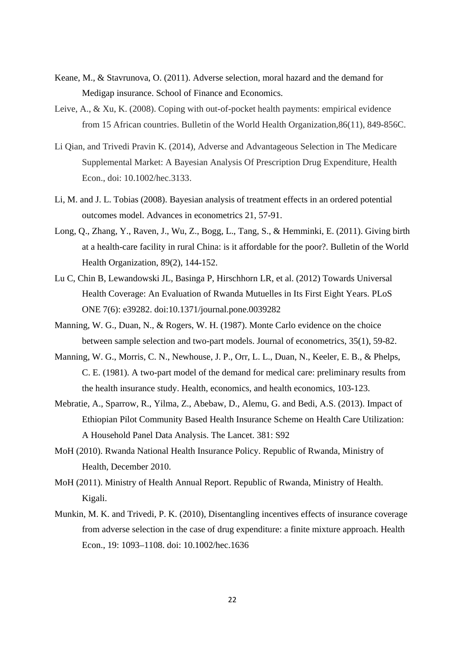- Keane, M., & Stavrunova, O. (2011). Adverse selection, moral hazard and the demand for Medigap insurance. School of Finance and Economics.
- Leive, A., & Xu, K. (2008). Coping with out-of-pocket health payments: empirical evidence from 15 African countries. Bulletin of the World Health Organization,86(11), 849-856C.
- Li Qian, and Trivedi Pravin K. (2014), Adverse and Advantageous Selection in The Medicare Supplemental Market: A Bayesian Analysis Of Prescription Drug Expenditure, Health Econ., doi: 10.1002/hec.3133.
- Li, M. and J. L. Tobias (2008). Bayesian analysis of treatment effects in an ordered potential outcomes model. Advances in econometrics 21, 57-91.
- Long, Q., Zhang, Y., Raven, J., Wu, Z., Bogg, L., Tang, S., & Hemminki, E. (2011). Giving birth at a health-care facility in rural China: is it affordable for the poor?. Bulletin of the World Health Organization, 89(2), 144-152.
- Lu C, Chin B, Lewandowski JL, Basinga P, Hirschhorn LR, et al. (2012) Towards Universal Health Coverage: An Evaluation of Rwanda Mutuelles in Its First Eight Years. PLoS ONE 7(6): e39282. doi:10.1371/journal.pone.0039282
- Manning, W. G., Duan, N., & Rogers, W. H. (1987). Monte Carlo evidence on the choice between sample selection and two-part models. Journal of econometrics, 35(1), 59-82.
- Manning, W. G., Morris, C. N., Newhouse, J. P., Orr, L. L., Duan, N., Keeler, E. B., & Phelps, C. E. (1981). A two-part model of the demand for medical care: preliminary results from the health insurance study. Health, economics, and health economics, 103-123.
- Mebratie, A., Sparrow, R., Yilma, Z., Abebaw, D., Alemu, G. and Bedi, A.S. (2013). Impact of Ethiopian Pilot Community Based Health Insurance Scheme on Health Care Utilization: A Household Panel Data Analysis. The Lancet. 381: S92
- MoH (2010). Rwanda National Health Insurance Policy. Republic of Rwanda, Ministry of Health, December 2010.
- MoH (2011). Ministry of Health Annual Report. Republic of Rwanda, Ministry of Health. Kigali.
- Munkin, M. K. and Trivedi, P. K. (2010), Disentangling incentives effects of insurance coverage from adverse selection in the case of drug expenditure: a finite mixture approach. Health Econ., 19: 1093–1108. doi: 10.1002/hec.1636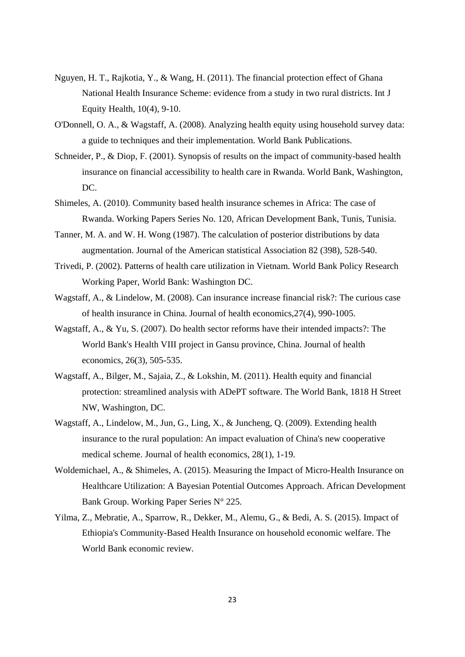- Nguyen, H. T., Rajkotia, Y., & Wang, H. (2011). The financial protection effect of Ghana National Health Insurance Scheme: evidence from a study in two rural districts. Int J Equity Health, 10(4), 9-10.
- O'Donnell, O. A., & Wagstaff, A. (2008). Analyzing health equity using household survey data: a guide to techniques and their implementation. World Bank Publications.
- Schneider, P., & Diop, F. (2001). Synopsis of results on the impact of community-based health insurance on financial accessibility to health care in Rwanda. World Bank, Washington, DC.
- Shimeles, A. (2010). Community based health insurance schemes in Africa: The case of Rwanda. Working Papers Series No. 120, African Development Bank, Tunis, Tunisia.
- Tanner, M. A. and W. H. Wong (1987). The calculation of posterior distributions by data augmentation. Journal of the American statistical Association 82 (398), 528-540.
- Trivedi, P. (2002). Patterns of health care utilization in Vietnam. World Bank Policy Research Working Paper, World Bank: Washington DC.
- Wagstaff, A., & Lindelow, M. (2008). Can insurance increase financial risk?: The curious case of health insurance in China. Journal of health economics,27(4), 990-1005.
- Wagstaff, A., & Yu, S. (2007). Do health sector reforms have their intended impacts?: The World Bank's Health VIII project in Gansu province, China. Journal of health economics, 26(3), 505-535.
- Wagstaff, A., Bilger, M., Sajaia, Z., & Lokshin, M. (2011). Health equity and financial protection: streamlined analysis with ADePT software. The World Bank, 1818 H Street NW, Washington, DC.
- Wagstaff, A., Lindelow, M., Jun, G., Ling, X., & Juncheng, Q. (2009). Extending health insurance to the rural population: An impact evaluation of China's new cooperative medical scheme. Journal of health economics, 28(1), 1-19.
- Woldemichael, A., & Shimeles, A. (2015). Measuring the Impact of Micro-Health Insurance on Healthcare Utilization: A Bayesian Potential Outcomes Approach. African Development Bank Group. Working Paper Series N° 225.
- Yilma, Z., Mebratie, A., Sparrow, R., Dekker, M., Alemu, G., & Bedi, A. S. (2015). Impact of Ethiopia's Community-Based Health Insurance on household economic welfare. The World Bank economic review.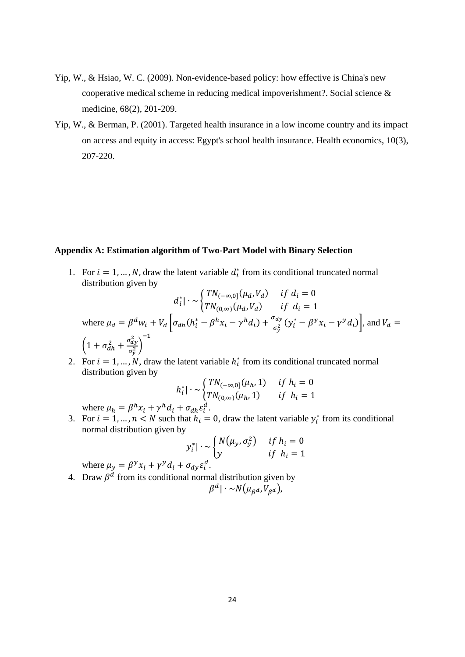- Yip, W., & Hsiao, W. C. (2009). Non-evidence-based policy: how effective is China's new cooperative medical scheme in reducing medical impoverishment?. Social science & medicine, 68(2), 201-209.
- Yip, W., & Berman, P. (2001). Targeted health insurance in a low income country and its impact on access and equity in access: Egypt's school health insurance. Health economics, 10(3), 207-220.

#### **Appendix A: Estimation algorithm of Two-Part Model with Binary Selection**

1. For  $i = 1, ..., N$ , draw the latent variable  $d_i^*$  from its conditional truncated normal distribution given by

$$
d_i^* \cdot \sim \begin{cases} TN_{(-\infty,0]}(\mu_d, V_d) & \text{if } d_i = 0\\ TN_{(0,\infty)}(\mu_d, V_d) & \text{if } d_i = 1 \end{cases}
$$
\n
$$
\text{where } \mu_d = \beta^d w_i + V_d \left[ \sigma_{dh}(h_i^* - \beta^h x_i - \gamma^h d_i) + \frac{\sigma_{dy}}{\sigma_y^2} (y_i^* - \beta^y x_i - \gamma^y d_i) \right], \text{ and } V_d = \left( 1 + \sigma_{dh}^2 + \frac{\sigma_{dy}^2}{\sigma_y^2} \right)^{-1}
$$

2. For  $i = 1, ..., N$ , draw the latent variable  $h_i^*$  from its conditional truncated normal distribution given by

$$
h_i^*| \cdot \sim \begin{cases} TN_{(-\infty,0]}(\mu_h, 1) & \text{if } h_i = 0\\ TN_{(0,\infty)}(\mu_h, 1) & \text{if } h_i = 1 \end{cases}
$$

where  $\mu_h = \beta^h x_i + \gamma^h d_i + \sigma_{dh} \varepsilon_i^d$ .

3. For  $i = 1, ..., n < N$  such that  $h_i = 0$ , draw the latent variable  $y_i^*$  from its conditional normal distribution given by

$$
y_i^* \mid \sim \begin{cases} N(\mu_y, \sigma_y^2) & \text{if } h_i = 0 \\ y & \text{if } h_i = 1 \end{cases}
$$

where  $\mu_y = \beta^y x_i + \gamma^y d_i + \sigma_{dy} \varepsilon_i^d$ .

4. Draw  $\beta^d$  from its conditional normal distribution given by  $\beta^d | \cdot \! \sim \! N\bigl( \mu_{\beta^d}, V_{\beta^d} \bigr)$ ,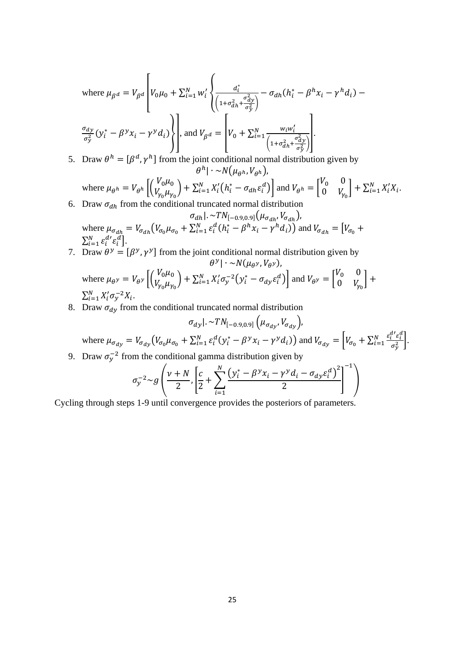where 
$$
\mu_{\beta}a = V_{\beta}a \left[ V_0 \mu_0 + \sum_{i=1}^N w_i' \left\{ \frac{a_i^*}{\left( 1 + \sigma_{dh}^2 + \frac{\sigma_{dy}^2}{\sigma_y^2} \right)} - \sigma_{dh} (h_i^* - \beta^h x_i - \gamma^h d_i) - \frac{\sigma_{dy}}{\sigma_y^2} (y_i^* - \beta^v x_i - \gamma^v d_i) \right\}
$$
, and  $V_{\beta}a = \left[ V_0 + \sum_{i=1}^N \frac{w_i w_i'}{\left( 1 + \sigma_{dh}^2 + \frac{\sigma_{dy}^2}{\sigma_y^2} \right)} \right]$ .

5. Draw  $\theta^h = [\beta^d, \gamma^h]$  from the joint conditional normal distribution given by  $\theta^h$ | ∙ ~  $N(\mu_{\rho h}, V_{\rho h})$ ,

where 
$$
\mu_{\theta^h} = V_{\theta^h} \left[ \begin{pmatrix} V_0 \mu_0 \\ V_{\gamma_0} \mu_{\gamma_0} \end{pmatrix} + \sum_{i=1}^N X_i' \left( h_i^* - \sigma_{dh} \varepsilon_i^d \right) \right]
$$
 and  $V_{\theta^h} = \begin{bmatrix} V_0 & 0 \\ 0 & V_{\gamma_0} \end{bmatrix} + \sum_{i=1}^N X_i' X_i$ .  
6. Draw  $\sigma_{dh}$  from the conditional truncated normal distribution

- $[\sigma_{dh}|. \sim TN_{[-0.9, 0.9]}(\mu_{\sigma_{dh}}, V_{\sigma_{dh}})]$ where  $\mu_{\sigma_{dh}} = V_{\sigma_{dh}} (V_{\sigma_0} \mu_{\sigma_0} + \sum_{i=1}^N \varepsilon_i^d (h_i^* - \beta^h x_i - \gamma^h d_i))$  and  $V_{\sigma_{dh}} = [V_{\sigma_0} + V_{\sigma_{dh}}]$  $\sum_{i=1}^{N} \varepsilon_i^{d'} \varepsilon_i^d$ .
- 7. Draw  $\theta^y = [\beta^y, \gamma^y]$  from the joint conditional normal distribution given by  $\theta^y$ | ∙ ~ $N(\mu_{\theta^y}, V_{\theta^y})$ ,

where 
$$
\mu_{\theta} y = V_{\theta} y \left[ \begin{pmatrix} V_0 \mu_0 \\ V_{\gamma_0} \mu_{\gamma_0} \end{pmatrix} + \sum_{i=1}^N X'_i \sigma_y^{-2} \left( y_i^* - \sigma_{dy} \varepsilon_i^d \right) \right]
$$
 and  $V_{\theta} y = \begin{bmatrix} V_0 & 0 \\ 0 & V_{\gamma_0} \end{bmatrix} + \sum_{i=1}^N X'_i \sigma_y^{-2} X_i$ .

8. Draw  $\sigma_{dy}$  from the conditional truncated normal distribution

$$
\sigma_{dy} |. \sim TN_{[-0.9, 0.9]} \left( \mu_{\sigma_{dy}}, V_{\sigma_{dy}} \right),
$$
  
where  $\mu_{\sigma_{dy}} = V_{\sigma_{dy}} \left( V_{\sigma_0} \mu_{\sigma_0} + \sum_{i=1}^N \varepsilon_i^d (y_i^* - \beta^y x_i - \gamma^y d_i) \right)$  and  $V_{\sigma_{dy}} = \left[ V_{\sigma_0} + \sum_{i=1}^N \frac{\varepsilon_i^d \varepsilon_i^d}{\sigma_y^2} \right].$   
Draw  $\sigma^{-2}$  from the conditional gamma distribution given by

9. Draw  $\sigma_y^{-2}$  from the conditional gamma distribution given by

$$
\sigma_y^{-2} \sim g\left(\frac{\nu+N}{2}, \left[\frac{c}{2} + \sum_{i=1}^N \frac{\left(y_i^* - \beta^y x_i - \gamma^y d_i - \sigma_{dy} \varepsilon_i^d\right)^2}{2}\right]^{-1}\right)
$$

Cycling through steps 1-9 until convergence provides the posteriors of parameters.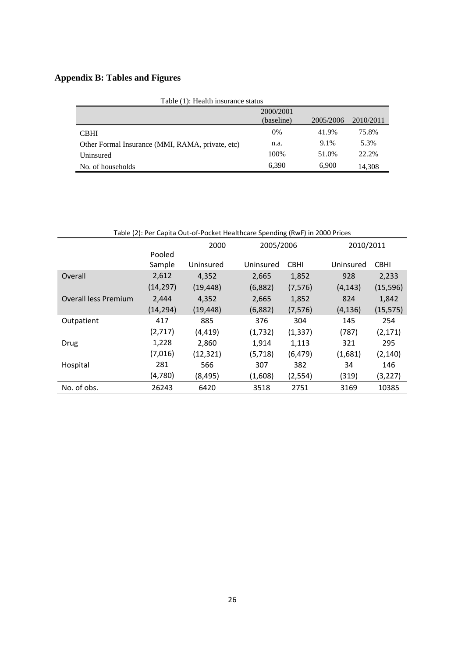# **Appendix B: Tables and Figures**

| Table (1): Health insurance status               |            |           |           |  |  |  |
|--------------------------------------------------|------------|-----------|-----------|--|--|--|
|                                                  | 2000/2001  |           |           |  |  |  |
|                                                  | (baseline) | 2005/2006 | 2010/2011 |  |  |  |
| <b>CBHI</b>                                      | 0%         | 41.9%     | 75.8%     |  |  |  |
| Other Formal Insurance (MMI, RAMA, private, etc) | n.a.       | 9.1%      | 5.3%      |  |  |  |
| Uninsured                                        | 100%       | 51.0%     | 22.2%     |  |  |  |
| No. of households                                | 6.390      | 6.900     | 14,308    |  |  |  |

| Table (2): Per Capita Out-of-Pocket Healthcare Spending (RwF) in 2000 Prices |           |           |           |             |           |             |  |  |
|------------------------------------------------------------------------------|-----------|-----------|-----------|-------------|-----------|-------------|--|--|
|                                                                              |           | 2000      |           | 2005/2006   |           | 2010/2011   |  |  |
|                                                                              | Pooled    |           |           |             |           |             |  |  |
|                                                                              | Sample    | Uninsured | Uninsured | <b>CBHI</b> | Uninsured | <b>CBHI</b> |  |  |
| Overall                                                                      | 2,612     | 4,352     | 2,665     | 1,852       | 928       | 2,233       |  |  |
|                                                                              | (14, 297) | (19, 448) | (6,882)   | (7, 576)    | (4, 143)  | (15, 596)   |  |  |
| <b>Overall less Premium</b>                                                  | 2,444     | 4,352     | 2,665     | 1,852       | 824       | 1,842       |  |  |
|                                                                              | (14, 294) | (19, 448) | (6,882)   | (7, 576)    | (4, 136)  | (15, 575)   |  |  |
| Outpatient                                                                   | 417       | 885       | 376       | 304         | 145       | 254         |  |  |
|                                                                              | (2,717)   | (4, 419)  | (1, 732)  | (1, 337)    | (787)     | (2, 171)    |  |  |
| Drug                                                                         | 1,228     | 2,860     | 1,914     | 1,113       | 321       | 295         |  |  |
|                                                                              | (7,016)   | (12, 321) | (5, 718)  | (6, 479)    | (1,681)   | (2, 140)    |  |  |
| Hospital                                                                     | 281       | 566       | 307       | 382         | 34        | 146         |  |  |
|                                                                              | (4,780)   | (8, 495)  | (1,608)   | (2,554)     | (319)     | (3,227)     |  |  |
| No. of obs.                                                                  | 26243     | 6420      | 3518      | 2751        | 3169      | 10385       |  |  |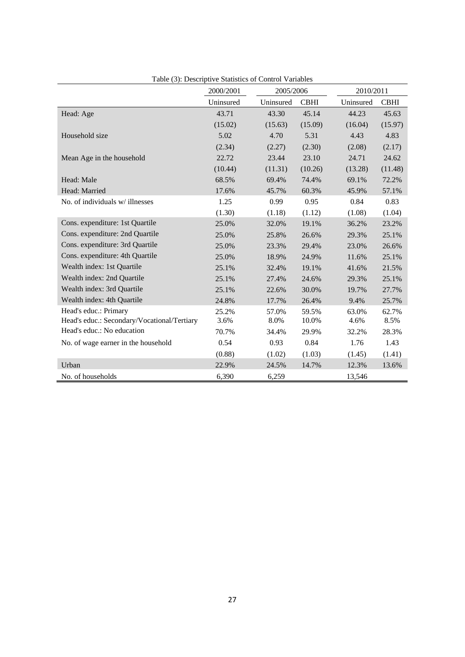|                                             | Tuble (9). Descriptive buildings of Control Valiables<br>2000/2001 | 2005/2006 |             | 2010/2011 |             |
|---------------------------------------------|--------------------------------------------------------------------|-----------|-------------|-----------|-------------|
|                                             | Uninsured                                                          | Uninsured | <b>CBHI</b> | Uninsured | <b>CBHI</b> |
| Head: Age                                   | 43.71                                                              | 43.30     | 45.14       | 44.23     | 45.63       |
|                                             | (15.02)                                                            | (15.63)   | (15.09)     | (16.04)   | (15.97)     |
| Household size                              | 5.02                                                               | 4.70      | 5.31        | 4.43      | 4.83        |
|                                             | (2.34)                                                             | (2.27)    | (2.30)      | (2.08)    | (2.17)      |
| Mean Age in the household                   | 22.72                                                              | 23.44     | 23.10       | 24.71     | 24.62       |
|                                             | (10.44)                                                            | (11.31)   | (10.26)     | (13.28)   | (11.48)     |
| Head: Male                                  | 68.5%                                                              | 69.4%     | 74.4%       | 69.1%     | 72.2%       |
| Head: Married                               | 17.6%                                                              | 45.7%     | 60.3%       | 45.9%     | 57.1%       |
| No. of individuals w/illnesses              | 1.25                                                               | 0.99      | 0.95        | 0.84      | 0.83        |
|                                             | (1.30)                                                             | (1.18)    | (1.12)      | (1.08)    | (1.04)      |
| Cons. expenditure: 1st Quartile             | 25.0%                                                              | 32.0%     | 19.1%       | 36.2%     | 23.2%       |
| Cons. expenditure: 2nd Quartile             | 25.0%                                                              | 25.8%     | 26.6%       | 29.3%     | 25.1%       |
| Cons. expenditure: 3rd Quartile             | 25.0%                                                              | 23.3%     | 29.4%       | 23.0%     | 26.6%       |
| Cons. expenditure: 4th Quartile             | 25.0%                                                              | 18.9%     | 24.9%       | 11.6%     | 25.1%       |
| Wealth index: 1st Quartile                  | 25.1%                                                              | 32.4%     | 19.1%       | 41.6%     | 21.5%       |
| Wealth index: 2nd Quartile                  | 25.1%                                                              | 27.4%     | 24.6%       | 29.3%     | 25.1%       |
| Wealth index: 3rd Quartile                  | 25.1%                                                              | 22.6%     | 30.0%       | 19.7%     | 27.7%       |
| Wealth index: 4th Quartile                  | 24.8%                                                              | 17.7%     | 26.4%       | 9.4%      | 25.7%       |
| Head's educ.: Primary                       | 25.2%                                                              | 57.0%     | 59.5%       | 63.0%     | 62.7%       |
| Head's educ.: Secondary/Vocational/Tertiary | 3.6%                                                               | 8.0%      | 10.0%       | 4.6%      | 8.5%        |
| Head's educ.: No education                  | 70.7%                                                              | 34.4%     | 29.9%       | 32.2%     | 28.3%       |
| No. of wage earner in the household         | 0.54                                                               | 0.93      | 0.84        | 1.76      | 1.43        |
|                                             | (0.88)                                                             | (1.02)    | (1.03)      | (1.45)    | (1.41)      |
| Urban                                       | 22.9%                                                              | 24.5%     | 14.7%       | 12.3%     | 13.6%       |
| No. of households                           | 6,390                                                              | 6,259     |             | 13,546    |             |

Table (3): Descriptive Statistics of Control Variables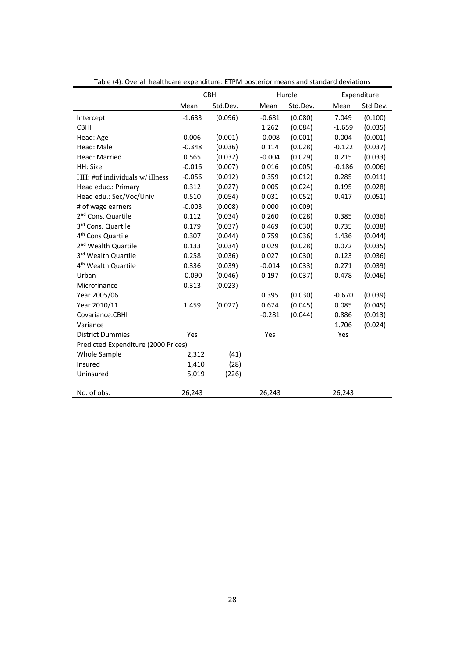|                                     | <b>CBHI</b> |          |          | Hurdle   |          | Expenditure |  |
|-------------------------------------|-------------|----------|----------|----------|----------|-------------|--|
|                                     | Mean        | Std.Dev. | Mean     | Std.Dev. | Mean     | Std.Dev.    |  |
| Intercept                           | $-1.633$    | (0.096)  | $-0.681$ | (0.080)  | 7.049    | (0.100)     |  |
| <b>CBHI</b>                         |             |          | 1.262    | (0.084)  | $-1.659$ | (0.035)     |  |
| Head: Age                           | 0.006       | (0.001)  | $-0.008$ | (0.001)  | 0.004    | (0.001)     |  |
| Head: Male                          | $-0.348$    | (0.036)  | 0.114    | (0.028)  | $-0.122$ | (0.037)     |  |
| Head: Married                       | 0.565       | (0.032)  | $-0.004$ | (0.029)  | 0.215    | (0.033)     |  |
| HH: Size                            | $-0.016$    | (0.007)  | 0.016    | (0.005)  | $-0.186$ | (0.006)     |  |
| HH: #of individuals w/illness       | $-0.056$    | (0.012)  | 0.359    | (0.012)  | 0.285    | (0.011)     |  |
| Head educ.: Primary                 | 0.312       | (0.027)  | 0.005    | (0.024)  | 0.195    | (0.028)     |  |
| Head edu.: Sec/Voc/Univ             | 0.510       | (0.054)  | 0.031    | (0.052)  | 0.417    | (0.051)     |  |
| # of wage earners                   | $-0.003$    | (0.008)  | 0.000    | (0.009)  |          |             |  |
| 2 <sup>nd</sup> Cons. Quartile      | 0.112       | (0.034)  | 0.260    | (0.028)  | 0.385    | (0.036)     |  |
| 3rd Cons. Quartile                  | 0.179       | (0.037)  | 0.469    | (0.030)  | 0.735    | (0.038)     |  |
| 4 <sup>th</sup> Cons Quartile       | 0.307       | (0.044)  | 0.759    | (0.036)  | 1.436    | (0.044)     |  |
| 2 <sup>nd</sup> Wealth Quartile     | 0.133       | (0.034)  | 0.029    | (0.028)  | 0.072    | (0.035)     |  |
| 3rd Wealth Quartile                 | 0.258       | (0.036)  | 0.027    | (0.030)  | 0.123    | (0.036)     |  |
| 4 <sup>th</sup> Wealth Quartile     | 0.336       | (0.039)  | $-0.014$ | (0.033)  | 0.271    | (0.039)     |  |
| Urban                               | $-0.090$    | (0.046)  | 0.197    | (0.037)  | 0.478    | (0.046)     |  |
| Microfinance                        | 0.313       | (0.023)  |          |          |          |             |  |
| Year 2005/06                        |             |          | 0.395    | (0.030)  | $-0.670$ | (0.039)     |  |
| Year 2010/11                        | 1.459       | (0.027)  | 0.674    | (0.045)  | 0.085    | (0.045)     |  |
| Covariance.CBHI                     |             |          | $-0.281$ | (0.044)  | 0.886    | (0.013)     |  |
| Variance                            |             |          |          |          | 1.706    | (0.024)     |  |
| <b>District Dummies</b>             | Yes         |          | Yes      |          | Yes      |             |  |
| Predicted Expenditure (2000 Prices) |             |          |          |          |          |             |  |
| Whole Sample                        | 2,312       | (41)     |          |          |          |             |  |
| Insured                             | 1,410       | (28)     |          |          |          |             |  |
| Uninsured                           | 5,019       | (226)    |          |          |          |             |  |
| No. of obs.                         | 26,243      |          | 26,243   |          | 26,243   |             |  |

Table (4): Overall healthcare expenditure: ETPM posterior means and standard deviations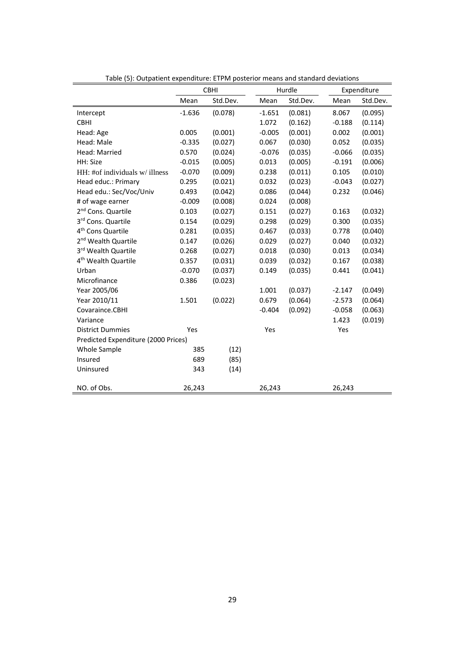| Table (5): Outpatient expenditure: ETPM posterior means and standard deviations |          |             |          |          |          |             |
|---------------------------------------------------------------------------------|----------|-------------|----------|----------|----------|-------------|
|                                                                                 |          | <b>CBHI</b> |          | Hurdle   |          | Expenditure |
|                                                                                 | Mean     | Std.Dev.    | Mean     | Std.Dev. | Mean     | Std.Dev.    |
| Intercept                                                                       | $-1.636$ | (0.078)     | $-1.651$ | (0.081)  | 8.067    | (0.095)     |
| <b>CBHI</b>                                                                     |          |             | 1.072    | (0.162)  | $-0.188$ | (0.114)     |
| Head: Age                                                                       | 0.005    | (0.001)     | $-0.005$ | (0.001)  | 0.002    | (0.001)     |
| Head: Male                                                                      | $-0.335$ | (0.027)     | 0.067    | (0.030)  | 0.052    | (0.035)     |
| Head: Married                                                                   | 0.570    | (0.024)     | $-0.076$ | (0.035)  | $-0.066$ | (0.035)     |
| HH: Size                                                                        | $-0.015$ | (0.005)     | 0.013    | (0.005)  | $-0.191$ | (0.006)     |
| $HH:$ #of individuals w/ illness                                                | $-0.070$ | (0.009)     | 0.238    | (0.011)  | 0.105    | (0.010)     |
| Head educ.: Primary                                                             | 0.295    | (0.021)     | 0.032    | (0.023)  | $-0.043$ | (0.027)     |
| Head edu.: Sec/Voc/Univ                                                         | 0.493    | (0.042)     | 0.086    | (0.044)  | 0.232    | (0.046)     |
| # of wage earner                                                                | $-0.009$ | (0.008)     | 0.024    | (0.008)  |          |             |
| 2 <sup>nd</sup> Cons. Quartile                                                  | 0.103    | (0.027)     | 0.151    | (0.027)  | 0.163    | (0.032)     |
| 3rd Cons. Quartile                                                              | 0.154    | (0.029)     | 0.298    | (0.029)  | 0.300    | (0.035)     |
| 4 <sup>th</sup> Cons Quartile                                                   | 0.281    | (0.035)     | 0.467    | (0.033)  | 0.778    | (0.040)     |
| 2 <sup>nd</sup> Wealth Quartile                                                 | 0.147    | (0.026)     | 0.029    | (0.027)  | 0.040    | (0.032)     |
| 3rd Wealth Quartile                                                             | 0.268    | (0.027)     | 0.018    | (0.030)  | 0.013    | (0.034)     |
| 4 <sup>th</sup> Wealth Quartile                                                 | 0.357    | (0.031)     | 0.039    | (0.032)  | 0.167    | (0.038)     |
| Urban                                                                           | $-0.070$ | (0.037)     | 0.149    | (0.035)  | 0.441    | (0.041)     |
| Microfinance                                                                    | 0.386    | (0.023)     |          |          |          |             |
| Year 2005/06                                                                    |          |             | 1.001    | (0.037)  | $-2.147$ | (0.049)     |
| Year 2010/11                                                                    | 1.501    | (0.022)     | 0.679    | (0.064)  | $-2.573$ | (0.064)     |
| Covaraince.CBHI                                                                 |          |             | $-0.404$ | (0.092)  | $-0.058$ | (0.063)     |
| Variance                                                                        |          |             |          |          | 1.423    | (0.019)     |
| <b>District Dummies</b>                                                         | Yes      |             | Yes      |          | Yes      |             |
| Predicted Expenditure (2000 Prices)                                             |          |             |          |          |          |             |
| Whole Sample                                                                    | 385      | (12)        |          |          |          |             |
| Insured                                                                         | 689      | (85)        |          |          |          |             |
| Uninsured                                                                       | 343      | (14)        |          |          |          |             |
| NO. of Obs.                                                                     | 26,243   |             | 26,243   |          | 26,243   |             |

Table (5): Outpatient expenditure: ETPM posterior means and standard deviations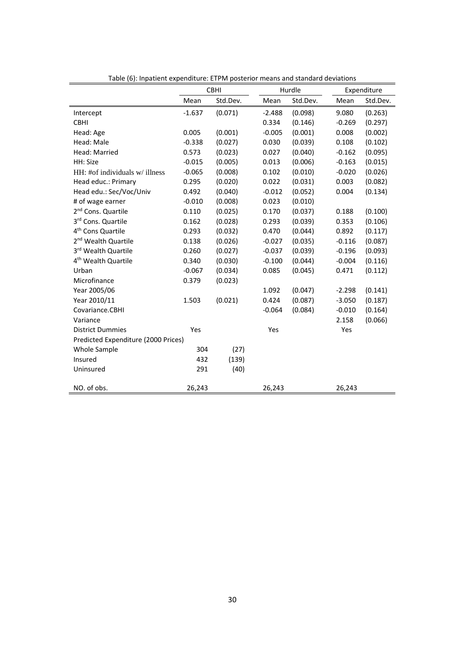|                                     |          | <b>CBHI</b> |          | Hurdle   |          | Expenditure |
|-------------------------------------|----------|-------------|----------|----------|----------|-------------|
|                                     | Mean     | Std.Dev.    | Mean     | Std.Dev. | Mean     | Std.Dev.    |
| Intercept                           | $-1.637$ | (0.071)     | $-2.488$ | (0.098)  | 9.080    | (0.263)     |
| <b>CBHI</b>                         |          |             | 0.334    | (0.146)  | $-0.269$ | (0.297)     |
| Head: Age                           | 0.005    | (0.001)     | $-0.005$ | (0.001)  | 0.008    | (0.002)     |
| Head: Male                          | $-0.338$ | (0.027)     | 0.030    | (0.039)  | 0.108    | (0.102)     |
| Head: Married                       | 0.573    | (0.023)     | 0.027    | (0.040)  | $-0.162$ | (0.095)     |
| HH: Size                            | $-0.015$ | (0.005)     | 0.013    | (0.006)  | $-0.163$ | (0.015)     |
| HH: #of individuals w/ illness      | $-0.065$ | (0.008)     | 0.102    | (0.010)  | $-0.020$ | (0.026)     |
| Head educ.: Primary                 | 0.295    | (0.020)     | 0.022    | (0.031)  | 0.003    | (0.082)     |
| Head edu.: Sec/Voc/Univ             | 0.492    | (0.040)     | $-0.012$ | (0.052)  | 0.004    | (0.134)     |
| # of wage earner                    | $-0.010$ | (0.008)     | 0.023    | (0.010)  |          |             |
| 2 <sup>nd</sup> Cons. Quartile      | 0.110    | (0.025)     | 0.170    | (0.037)  | 0.188    | (0.100)     |
| 3rd Cons. Quartile                  | 0.162    | (0.028)     | 0.293    | (0.039)  | 0.353    | (0.106)     |
| 4 <sup>th</sup> Cons Quartile       | 0.293    | (0.032)     | 0.470    | (0.044)  | 0.892    | (0.117)     |
| 2 <sup>nd</sup> Wealth Quartile     | 0.138    | (0.026)     | $-0.027$ | (0.035)  | $-0.116$ | (0.087)     |
| 3rd Wealth Quartile                 | 0.260    | (0.027)     | $-0.037$ | (0.039)  | $-0.196$ | (0.093)     |
| 4 <sup>th</sup> Wealth Quartile     | 0.340    | (0.030)     | $-0.100$ | (0.044)  | $-0.004$ | (0.116)     |
| Urban                               | $-0.067$ | (0.034)     | 0.085    | (0.045)  | 0.471    | (0.112)     |
| Microfinance                        | 0.379    | (0.023)     |          |          |          |             |
| Year 2005/06                        |          |             | 1.092    | (0.047)  | $-2.298$ | (0.141)     |
| Year 2010/11                        | 1.503    | (0.021)     | 0.424    | (0.087)  | $-3.050$ | (0.187)     |
| Covariance.CBHI                     |          |             | $-0.064$ | (0.084)  | $-0.010$ | (0.164)     |
| Variance                            |          |             |          |          | 2.158    | (0.066)     |
| <b>District Dummies</b>             | Yes      |             | Yes      |          | Yes      |             |
| Predicted Expenditure (2000 Prices) |          |             |          |          |          |             |
| Whole Sample                        | 304      | (27)        |          |          |          |             |
| Insured                             | 432      | (139)       |          |          |          |             |
| Uninsured                           | 291      | (40)        |          |          |          |             |
| NO. of obs.                         | 26,243   |             | 26,243   |          | 26,243   |             |

Table (6): Inpatient expenditure: ETPM posterior means and standard deviations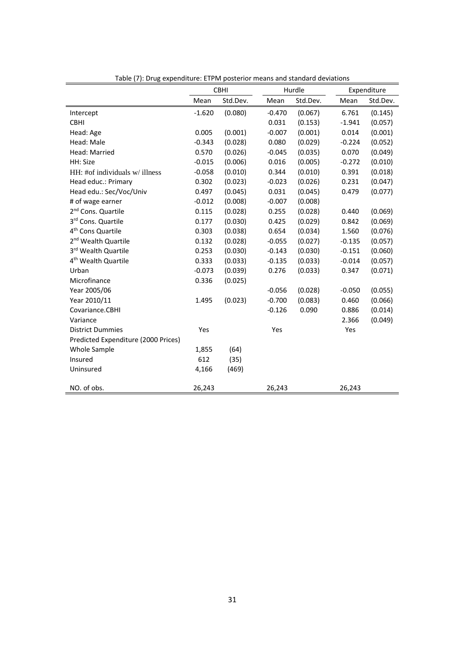|                                     | <b>CBHI</b> |          |          | Hurdle   | Expenditure |          |
|-------------------------------------|-------------|----------|----------|----------|-------------|----------|
|                                     | Mean        | Std.Dev. | Mean     | Std.Dev. | Mean        | Std.Dev. |
| Intercept                           | $-1.620$    | (0.080)  | $-0.470$ | (0.067)  | 6.761       | (0.145)  |
| <b>CBHI</b>                         |             |          | 0.031    | (0.153)  | $-1.941$    | (0.057)  |
| Head: Age                           | 0.005       | (0.001)  | $-0.007$ | (0.001)  | 0.014       | (0.001)  |
| Head: Male                          | $-0.343$    | (0.028)  | 0.080    | (0.029)  | $-0.224$    | (0.052)  |
| Head: Married                       | 0.570       | (0.026)  | $-0.045$ | (0.035)  | 0.070       | (0.049)  |
| HH: Size                            | $-0.015$    | (0.006)  | 0.016    | (0.005)  | $-0.272$    | (0.010)  |
| HH: #of individuals w/ illness      | $-0.058$    | (0.010)  | 0.344    | (0.010)  | 0.391       | (0.018)  |
| Head educ.: Primary                 | 0.302       | (0.023)  | $-0.023$ | (0.026)  | 0.231       | (0.047)  |
| Head edu.: Sec/Voc/Univ             | 0.497       | (0.045)  | 0.031    | (0.045)  | 0.479       | (0.077)  |
| # of wage earner                    | $-0.012$    | (0.008)  | $-0.007$ | (0.008)  |             |          |
| 2 <sup>nd</sup> Cons. Quartile      | 0.115       | (0.028)  | 0.255    | (0.028)  | 0.440       | (0.069)  |
| 3rd Cons. Quartile                  | 0.177       | (0.030)  | 0.425    | (0.029)  | 0.842       | (0.069)  |
| 4 <sup>th</sup> Cons Quartile       | 0.303       | (0.038)  | 0.654    | (0.034)  | 1.560       | (0.076)  |
| 2 <sup>nd</sup> Wealth Quartile     | 0.132       | (0.028)  | $-0.055$ | (0.027)  | $-0.135$    | (0.057)  |
| 3rd Wealth Quartile                 | 0.253       | (0.030)  | $-0.143$ | (0.030)  | $-0.151$    | (0.060)  |
| 4 <sup>th</sup> Wealth Quartile     | 0.333       | (0.033)  | $-0.135$ | (0.033)  | $-0.014$    | (0.057)  |
| Urban                               | $-0.073$    | (0.039)  | 0.276    | (0.033)  | 0.347       | (0.071)  |
| Microfinance                        | 0.336       | (0.025)  |          |          |             |          |
| Year 2005/06                        |             |          | $-0.056$ | (0.028)  | $-0.050$    | (0.055)  |
| Year 2010/11                        | 1.495       | (0.023)  | $-0.700$ | (0.083)  | 0.460       | (0.066)  |
| Covariance.CBHI                     |             |          | $-0.126$ | 0.090    | 0.886       | (0.014)  |
| Variance                            |             |          |          |          | 2.366       | (0.049)  |
| <b>District Dummies</b>             | Yes         |          | Yes      |          | Yes         |          |
| Predicted Expenditure (2000 Prices) |             |          |          |          |             |          |
| Whole Sample                        | 1,855       | (64)     |          |          |             |          |
| Insured                             | 612         | (35)     |          |          |             |          |
| Uninsured                           | 4,166       | (469)    |          |          |             |          |
| NO. of obs.                         | 26,243      |          | 26,243   |          | 26,243      |          |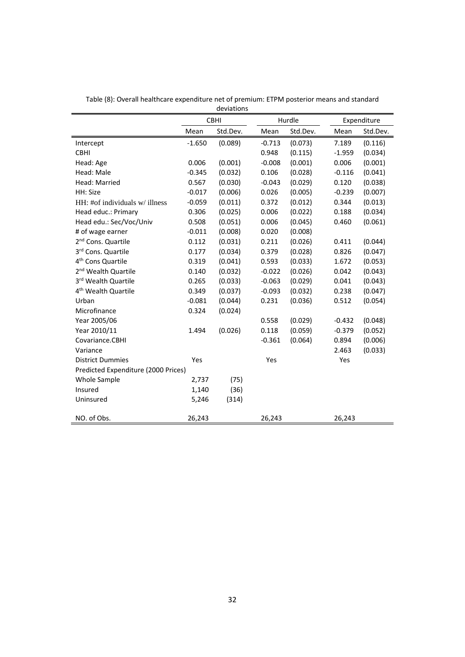|                                     |          | <b>CBHI</b> |          | Hurdle   |          | Expenditure |  |
|-------------------------------------|----------|-------------|----------|----------|----------|-------------|--|
|                                     | Mean     | Std.Dev.    | Mean     | Std.Dev. | Mean     | Std.Dev.    |  |
| Intercept                           | $-1.650$ | (0.089)     | $-0.713$ | (0.073)  | 7.189    | (0.116)     |  |
| <b>CBHI</b>                         |          |             | 0.948    | (0.115)  | $-1.959$ | (0.034)     |  |
| Head: Age                           | 0.006    | (0.001)     | $-0.008$ | (0.001)  | 0.006    | (0.001)     |  |
| Head: Male                          | $-0.345$ | (0.032)     | 0.106    | (0.028)  | $-0.116$ | (0.041)     |  |
| Head: Married                       | 0.567    | (0.030)     | $-0.043$ | (0.029)  | 0.120    | (0.038)     |  |
| HH: Size                            | $-0.017$ | (0.006)     | 0.026    | (0.005)  | $-0.239$ | (0.007)     |  |
| HH: #of individuals w/ illness      | $-0.059$ | (0.011)     | 0.372    | (0.012)  | 0.344    | (0.013)     |  |
| Head educ.: Primary                 | 0.306    | (0.025)     | 0.006    | (0.022)  | 0.188    | (0.034)     |  |
| Head edu.: Sec/Voc/Univ             | 0.508    | (0.051)     | 0.006    | (0.045)  | 0.460    | (0.061)     |  |
| # of wage earner                    | $-0.011$ | (0.008)     | 0.020    | (0.008)  |          |             |  |
| 2 <sup>nd</sup> Cons. Quartile      | 0.112    | (0.031)     | 0.211    | (0.026)  | 0.411    | (0.044)     |  |
| 3rd Cons. Quartile                  | 0.177    | (0.034)     | 0.379    | (0.028)  | 0.826    | (0.047)     |  |
| 4 <sup>th</sup> Cons Quartile       | 0.319    | (0.041)     | 0.593    | (0.033)  | 1.672    | (0.053)     |  |
| 2 <sup>nd</sup> Wealth Quartile     | 0.140    | (0.032)     | $-0.022$ | (0.026)  | 0.042    | (0.043)     |  |
| 3rd Wealth Quartile                 | 0.265    | (0.033)     | $-0.063$ | (0.029)  | 0.041    | (0.043)     |  |
| 4 <sup>th</sup> Wealth Quartile     | 0.349    | (0.037)     | $-0.093$ | (0.032)  | 0.238    | (0.047)     |  |
| Urban                               | $-0.081$ | (0.044)     | 0.231    | (0.036)  | 0.512    | (0.054)     |  |
| Microfinance                        | 0.324    | (0.024)     |          |          |          |             |  |
| Year 2005/06                        |          |             | 0.558    | (0.029)  | $-0.432$ | (0.048)     |  |
| Year 2010/11                        | 1.494    | (0.026)     | 0.118    | (0.059)  | $-0.379$ | (0.052)     |  |
| Covariance.CBHI                     |          |             | $-0.361$ | (0.064)  | 0.894    | (0.006)     |  |
| Variance                            |          |             |          |          | 2.463    | (0.033)     |  |
| <b>District Dummies</b>             | Yes      |             | Yes      |          | Yes      |             |  |
| Predicted Expenditure (2000 Prices) |          |             |          |          |          |             |  |
| Whole Sample                        | 2,737    | (75)        |          |          |          |             |  |
| Insured                             | 1,140    | (36)        |          |          |          |             |  |
| Uninsured                           | 5,246    | (314)       |          |          |          |             |  |
| NO. of Obs.                         | 26,243   |             | 26,243   |          | 26,243   |             |  |

Table (8): Overall healthcare expenditure net of premium: ETPM posterior means and standard deviations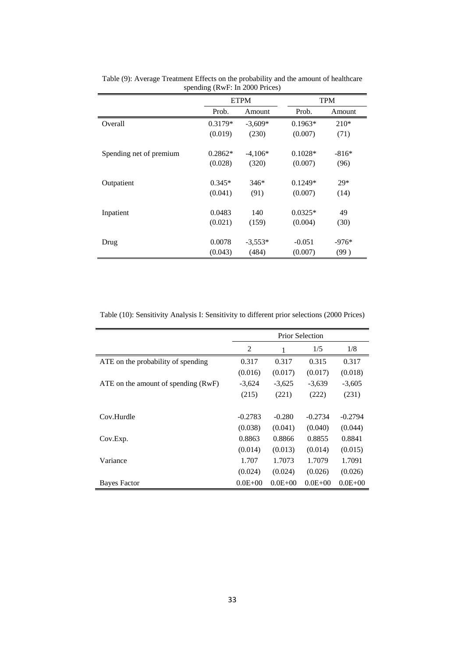|                         |           | <b>ETPM</b> |           | TPM     |
|-------------------------|-----------|-------------|-----------|---------|
|                         | Prob.     | Amount      | Prob.     | Amount  |
| Overall                 | $0.3179*$ | $-3,609*$   | $0.1963*$ | $210*$  |
|                         | (0.019)   | (230)       | (0.007)   | (71)    |
|                         |           |             |           |         |
| Spending net of premium | $0.2862*$ | $-4,106*$   | $0.1028*$ | $-816*$ |
|                         | (0.028)   | (320)       | (0.007)   | (96)    |
|                         |           |             |           |         |
| Outpatient              | $0.345*$  | $346*$      | $0.1249*$ | $29*$   |
|                         | (0.041)   | (91)        | (0.007)   | (14)    |
|                         |           |             |           |         |
| Inpatient               | 0.0483    | 140         | $0.0325*$ | 49      |
|                         | (0.021)   | (159)       | (0.004)   | (30)    |
|                         |           |             |           |         |
| Drug                    | 0.0078    | $-3,553*$   | $-0.051$  | $-976*$ |
|                         | (0.043)   | (484)       | (0.007)   | (99)    |

Table (9): Average Treatment Effects on the probability and the amount of healthcare spending (RwF: In 2000 Prices)

Table (10): Sensitivity Analysis I: Sensitivity to different prior selections (2000 Prices)

|                                     | <b>Prior Selection</b> |             |             |             |  |  |
|-------------------------------------|------------------------|-------------|-------------|-------------|--|--|
|                                     | 2                      | 1           | 1/5         | 1/8         |  |  |
| ATE on the probability of spending  | 0.317                  | 0.317       | 0.315       | 0.317       |  |  |
|                                     | (0.016)                | (0.017)     | (0.017)     | (0.018)     |  |  |
| ATE on the amount of spending (RwF) | $-3,624$               | $-3,625$    | $-3,639$    | $-3,605$    |  |  |
|                                     | (215)                  | (221)       | (222)       | (231)       |  |  |
|                                     |                        |             |             |             |  |  |
| Cov.Hurdle                          | $-0.2783$              | $-0.280$    | $-0.2734$   | $-0.2794$   |  |  |
|                                     | (0.038)                | (0.041)     | (0.040)     | (0.044)     |  |  |
| Cov.Exp.                            | 0.8863                 | 0.8866      | 0.8855      | 0.8841      |  |  |
|                                     | (0.014)                | (0.013)     | (0.014)     | (0.015)     |  |  |
| Variance                            | 1.707                  | 1.7073      | 1.7079      | 1.7091      |  |  |
|                                     | (0.024)                | (0.024)     | (0.026)     | (0.026)     |  |  |
| <b>Bayes Factor</b>                 | $0.0E + 00$            | $0.0E + 00$ | $0.0E + 00$ | $0.0E + 00$ |  |  |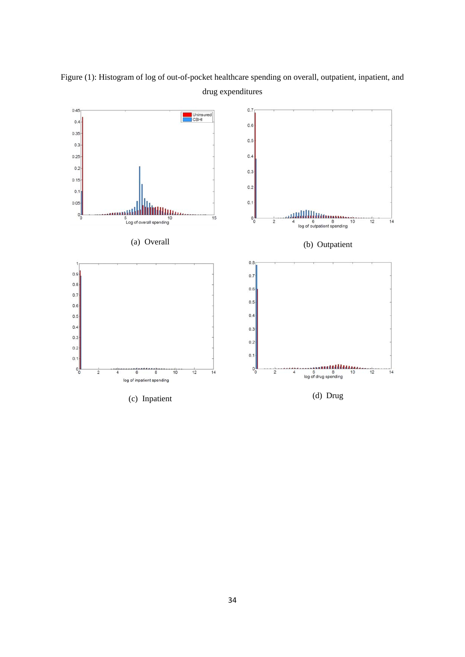

Figure (1): Histogram of log of out-of-pocket healthcare spending on overall, outpatient, inpatient, and drug expenditures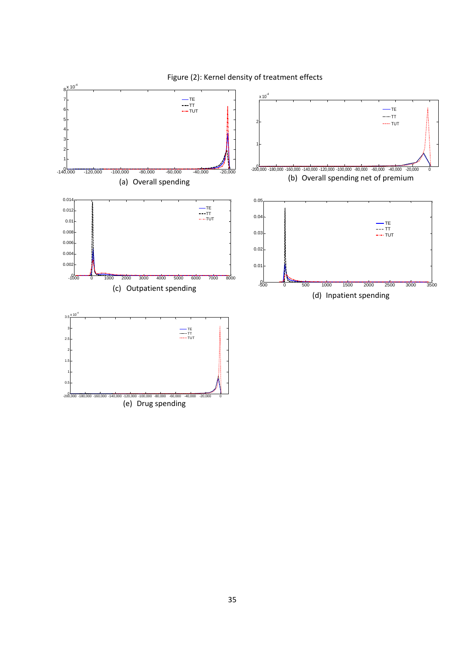

Figure (2): Kernel density of treatment effects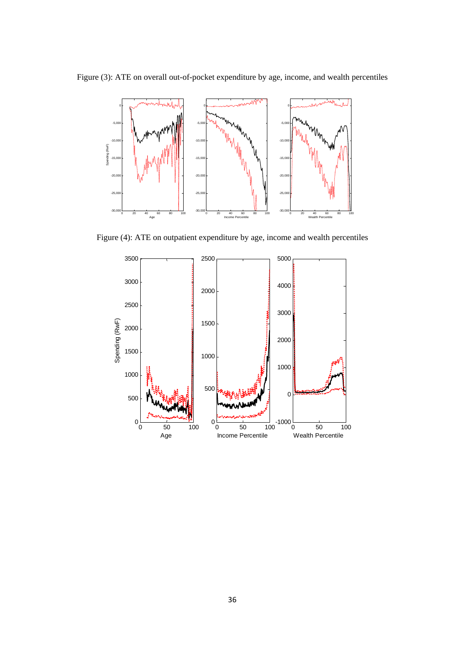Figure (3): ATE on overall out-of-pocket expenditure by age, income, and wealth percentiles



Figure (4): ATE on outpatient expenditure by age, income and wealth percentiles